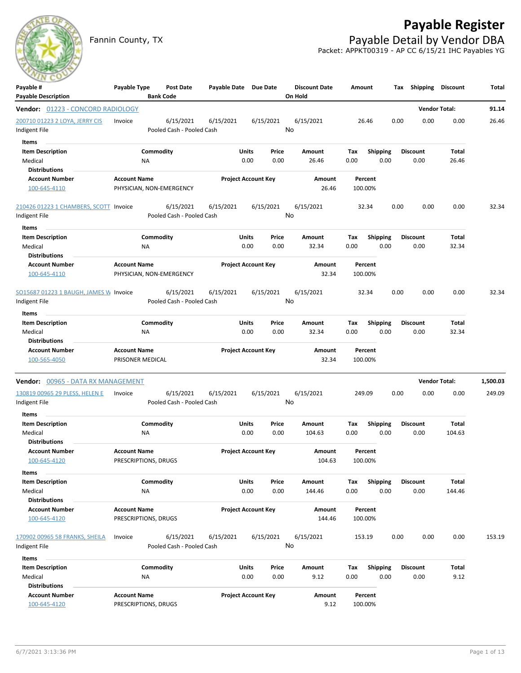## **Payable Register**

Fannin County, TX **Payable Detail by Vendor DBA** Packet: APPKT00319 - AP CC 6/15/21 IHC Payables YG



| Payable #<br><b>Payable Description</b>                 | Payable Type                                    | <b>Post Date</b><br><b>Bank Code</b>   | Payable Date Due Date |                            | <b>Discount Date</b><br>On Hold | Amount             |                 | Tax             | Shipping Discount    |        | Total    |
|---------------------------------------------------------|-------------------------------------------------|----------------------------------------|-----------------------|----------------------------|---------------------------------|--------------------|-----------------|-----------------|----------------------|--------|----------|
| Vendor: 01223 - CONCORD RADIOLOGY                       |                                                 |                                        |                       |                            |                                 |                    |                 |                 | <b>Vendor Total:</b> |        | 91.14    |
| 200710 01223 2 LOYA, JERRY CIS                          | Invoice                                         | 6/15/2021                              | 6/15/2021             | 6/15/2021                  | 6/15/2021                       | 26.46              |                 | 0.00            | 0.00                 | 0.00   | 26.46    |
| Indigent File                                           |                                                 | Pooled Cash - Pooled Cash              |                       |                            | No                              |                    |                 |                 |                      |        |          |
| Items                                                   |                                                 |                                        |                       |                            |                                 |                    |                 |                 |                      |        |          |
| <b>Item Description</b>                                 |                                                 | Commodity                              |                       | Units<br>Price             | Amount                          | Tax                | <b>Shipping</b> | <b>Discount</b> |                      | Total  |          |
| Medical                                                 | NA                                              |                                        |                       | 0.00<br>0.00               | 26.46                           | 0.00               | 0.00            | 0.00            |                      | 26.46  |          |
| <b>Distributions</b>                                    |                                                 |                                        |                       |                            |                                 |                    |                 |                 |                      |        |          |
| <b>Account Number</b>                                   | <b>Account Name</b>                             |                                        |                       | <b>Project Account Key</b> | Amount                          | Percent            |                 |                 |                      |        |          |
| 100-645-4110                                            | PHYSICIAN, NON-EMERGENCY                        |                                        |                       |                            | 26.46                           | 100.00%            |                 |                 |                      |        |          |
| 210426 01223 1 CHAMBERS, SCOTT Invoice<br>Indigent File |                                                 | 6/15/2021<br>Pooled Cash - Pooled Cash | 6/15/2021             | 6/15/2021                  | 6/15/2021<br>No                 | 32.34              |                 | 0.00            | 0.00                 | 0.00   | 32.34    |
| Items                                                   |                                                 |                                        |                       |                            |                                 |                    |                 |                 |                      |        |          |
| <b>Item Description</b>                                 |                                                 | Commodity                              |                       | Units<br>Price             | Amount                          | Tax                | <b>Shipping</b> | <b>Discount</b> |                      | Total  |          |
| Medical                                                 | <b>NA</b>                                       |                                        |                       | 0.00<br>0.00               | 32.34                           | 0.00               | 0.00            | 0.00            |                      | 32.34  |          |
| <b>Distributions</b>                                    |                                                 |                                        |                       |                            |                                 |                    |                 |                 |                      |        |          |
| <b>Account Number</b><br>100-645-4110                   | <b>Account Name</b><br>PHYSICIAN, NON-EMERGENCY |                                        |                       | <b>Project Account Key</b> | Amount<br>32.34                 | Percent<br>100.00% |                 |                 |                      |        |          |
|                                                         |                                                 |                                        |                       |                            |                                 |                    |                 |                 |                      |        |          |
| SO15687 01223 1 BAUGH, JAMES W Invoice<br>Indigent File |                                                 | 6/15/2021<br>Pooled Cash - Pooled Cash | 6/15/2021             | 6/15/2021                  | 6/15/2021<br>No                 | 32.34              |                 | 0.00            | 0.00                 | 0.00   | 32.34    |
| Items                                                   |                                                 |                                        |                       |                            |                                 |                    |                 |                 |                      |        |          |
| <b>Item Description</b>                                 |                                                 | Commodity                              |                       | Units<br>Price             | Amount                          | Tax                | <b>Shipping</b> | <b>Discount</b> |                      | Total  |          |
| Medical                                                 | NA                                              |                                        |                       | 0.00<br>0.00               | 32.34                           | 0.00               | 0.00            | 0.00            |                      | 32.34  |          |
| <b>Distributions</b>                                    |                                                 |                                        |                       |                            |                                 |                    |                 |                 |                      |        |          |
| <b>Account Number</b>                                   | <b>Account Name</b>                             |                                        |                       | <b>Project Account Key</b> | Amount                          | Percent            |                 |                 |                      |        |          |
| 100-565-4050                                            | PRISONER MEDICAL                                |                                        |                       |                            | 32.34                           | 100.00%            |                 |                 |                      |        |          |
| <b>Vendor: 00965 - DATA RX MANAGEMENT</b>               |                                                 |                                        |                       |                            |                                 |                    |                 |                 | <b>Vendor Total:</b> |        | 1,500.03 |
| 130819 00965 29 PLESS, HELEN E                          | Invoice                                         | 6/15/2021                              | 6/15/2021             | 6/15/2021                  | 6/15/2021                       | 249.09             |                 | 0.00            | 0.00                 | 0.00   | 249.09   |
| Indigent File                                           |                                                 | Pooled Cash - Pooled Cash              |                       |                            | No                              |                    |                 |                 |                      |        |          |
| Items                                                   |                                                 |                                        |                       |                            |                                 |                    |                 |                 |                      |        |          |
| <b>Item Description</b>                                 |                                                 | Commodity                              |                       | Units<br>Price             | Amount                          | Tax                | Shipping        | Discount        |                      | Total  |          |
| Medical                                                 | NA                                              |                                        |                       | 0.00<br>0.00               | 104.63                          | 0.00               | 0.00            | 0.00            |                      | 104.63 |          |
| <b>Distributions</b>                                    |                                                 |                                        |                       |                            |                                 |                    |                 |                 |                      |        |          |
| <b>Account Number</b><br>100-645-4120                   | <b>Account Name</b><br>PRESCRIPTIONS, DRUGS     |                                        |                       | <b>Project Account Key</b> | Amount<br>104.63                | Percent<br>100.00% |                 |                 |                      |        |          |
|                                                         |                                                 |                                        |                       |                            |                                 |                    |                 |                 |                      |        |          |
| Items                                                   |                                                 |                                        |                       |                            |                                 |                    |                 |                 |                      |        |          |
| <b>Item Description</b>                                 |                                                 | Commodity                              |                       | Units<br>Price             | Amount                          | Tax                | Shipping        | <b>Discount</b> |                      | Total  |          |
| Medical                                                 | NA                                              |                                        |                       | 0.00<br>0.00               | 144.46                          | 0.00               | 0.00            | 0.00            |                      | 144.46 |          |
| <b>Distributions</b>                                    |                                                 |                                        |                       |                            |                                 |                    |                 |                 |                      |        |          |
| <b>Account Number</b>                                   | <b>Account Name</b>                             |                                        |                       | <b>Project Account Key</b> | Amount                          | Percent            |                 |                 |                      |        |          |
| 100-645-4120                                            | PRESCRIPTIONS, DRUGS                            |                                        |                       |                            | 144.46                          | 100.00%            |                 |                 |                      |        |          |
| 170902 00965 58 FRANKS, SHEILA<br>Indigent File         | Invoice                                         | 6/15/2021<br>Pooled Cash - Pooled Cash | 6/15/2021             | 6/15/2021                  | 6/15/2021<br>No                 | 153.19             |                 | 0.00            | 0.00                 | 0.00   | 153.19   |
| Items                                                   |                                                 |                                        |                       |                            |                                 |                    |                 |                 |                      |        |          |
| <b>Item Description</b>                                 |                                                 | Commodity                              |                       | Units<br>Price             | Amount                          | Tax                | <b>Shipping</b> | <b>Discount</b> |                      | Total  |          |
| Medical<br><b>Distributions</b>                         | NA                                              |                                        |                       | 0.00<br>0.00               | 9.12                            | 0.00               | 0.00            | 0.00            |                      | 9.12   |          |
| <b>Account Number</b>                                   | <b>Account Name</b>                             |                                        |                       | <b>Project Account Key</b> | Amount                          | Percent            |                 |                 |                      |        |          |
| 100-645-4120                                            | PRESCRIPTIONS, DRUGS                            |                                        |                       |                            | 9.12                            | 100.00%            |                 |                 |                      |        |          |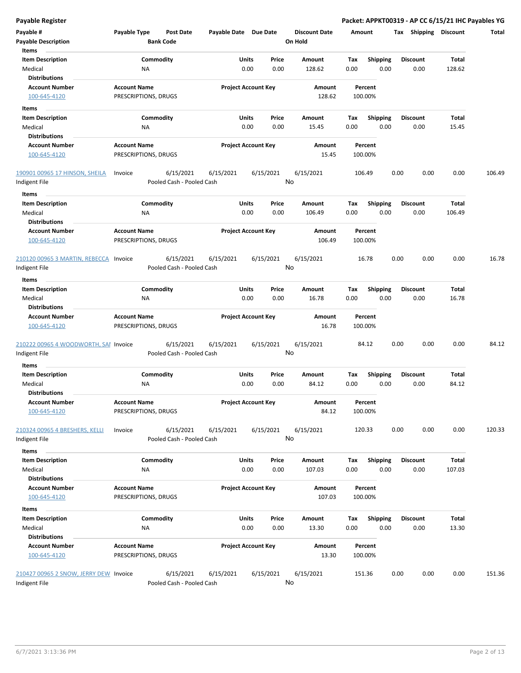| <b>Payable Register</b>                |                      |                           |                       |                            |           |                      |        |                 |      |                       | Packet: APPKT00319 - AP CC 6/15/21 IHC Payables YG |        |
|----------------------------------------|----------------------|---------------------------|-----------------------|----------------------------|-----------|----------------------|--------|-----------------|------|-----------------------|----------------------------------------------------|--------|
| Payable #                              | Payable Type         | <b>Post Date</b>          | Payable Date Due Date |                            |           | <b>Discount Date</b> | Amount |                 |      | Tax Shipping Discount |                                                    | Total  |
| <b>Payable Description</b>             |                      | <b>Bank Code</b>          |                       |                            |           | On Hold              |        |                 |      |                       |                                                    |        |
| Items                                  |                      |                           |                       |                            |           |                      |        |                 |      |                       |                                                    |        |
| <b>Item Description</b>                |                      | Commodity                 |                       | Units                      | Price     | Amount               | Tax    | <b>Shipping</b> |      | <b>Discount</b>       | <b>Total</b>                                       |        |
| Medical                                | NA                   |                           |                       | 0.00                       | 0.00      | 128.62               | 0.00   | 0.00            |      | 0.00                  | 128.62                                             |        |
| <b>Distributions</b>                   |                      |                           |                       |                            |           |                      |        |                 |      |                       |                                                    |        |
| <b>Account Number</b>                  | <b>Account Name</b>  |                           |                       | <b>Project Account Key</b> |           | Amount               |        | Percent         |      |                       |                                                    |        |
| 100-645-4120                           | PRESCRIPTIONS, DRUGS |                           |                       |                            |           | 128.62               |        | 100.00%         |      |                       |                                                    |        |
|                                        |                      |                           |                       |                            |           |                      |        |                 |      |                       |                                                    |        |
| Items                                  |                      |                           |                       |                            |           |                      |        |                 |      |                       |                                                    |        |
| <b>Item Description</b>                |                      | Commodity                 |                       | Units                      | Price     | Amount               | Tax    | <b>Shipping</b> |      | <b>Discount</b>       | Total                                              |        |
| Medical                                | <b>NA</b>            |                           |                       | 0.00                       | 0.00      | 15.45                | 0.00   | 0.00            |      | 0.00                  | 15.45                                              |        |
| <b>Distributions</b>                   |                      |                           |                       |                            |           |                      |        |                 |      |                       |                                                    |        |
| <b>Account Number</b>                  | <b>Account Name</b>  |                           |                       | <b>Project Account Key</b> |           | Amount               |        | Percent         |      |                       |                                                    |        |
| 100-645-4120                           | PRESCRIPTIONS, DRUGS |                           |                       |                            |           | 15.45                |        | 100.00%         |      |                       |                                                    |        |
| 190901 00965 17 HINSON, SHEILA         | Invoice              | 6/15/2021                 | 6/15/2021             |                            | 6/15/2021 | 6/15/2021            | 106.49 |                 | 0.00 | 0.00                  | 0.00                                               | 106.49 |
| Indigent File                          |                      | Pooled Cash - Pooled Cash |                       |                            |           | No                   |        |                 |      |                       |                                                    |        |
| Items                                  |                      |                           |                       |                            |           |                      |        |                 |      |                       |                                                    |        |
| <b>Item Description</b>                |                      | Commodity                 |                       | Units                      | Price     | Amount               | Tax    | <b>Shipping</b> |      | <b>Discount</b>       | <b>Total</b>                                       |        |
| Medical                                | ΝA                   |                           |                       | 0.00                       | 0.00      | 106.49               | 0.00   | 0.00            |      | 0.00                  | 106.49                                             |        |
| <b>Distributions</b>                   |                      |                           |                       |                            |           |                      |        |                 |      |                       |                                                    |        |
| <b>Account Number</b>                  | <b>Account Name</b>  |                           |                       | <b>Project Account Key</b> |           | Amount               |        | Percent         |      |                       |                                                    |        |
| 100-645-4120                           | PRESCRIPTIONS, DRUGS |                           |                       |                            |           | 106.49               |        | 100.00%         |      |                       |                                                    |        |
| 210120 00965 3 MARTIN, REBECCA Invoice |                      | 6/15/2021                 | 6/15/2021             |                            | 6/15/2021 | 6/15/2021            |        | 16.78           | 0.00 | 0.00                  | 0.00                                               | 16.78  |
| Indigent File                          |                      | Pooled Cash - Pooled Cash |                       |                            |           | No                   |        |                 |      |                       |                                                    |        |
| Items                                  |                      |                           |                       |                            |           |                      |        |                 |      |                       |                                                    |        |
| <b>Item Description</b>                |                      | Commodity                 |                       | Units                      | Price     | Amount               | Tax    | <b>Shipping</b> |      | <b>Discount</b>       | Total                                              |        |
| Medical                                | <b>NA</b>            |                           |                       | 0.00                       | 0.00      | 16.78                | 0.00   | 0.00            |      | 0.00                  | 16.78                                              |        |
| <b>Distributions</b>                   |                      |                           |                       |                            |           |                      |        |                 |      |                       |                                                    |        |
| <b>Account Number</b>                  | <b>Account Name</b>  |                           |                       | <b>Project Account Key</b> |           | Amount               |        | Percent         |      |                       |                                                    |        |
| 100-645-4120                           | PRESCRIPTIONS, DRUGS |                           |                       |                            |           | 16.78                |        | 100.00%         |      |                       |                                                    |        |
| 210222 00965 4 WOODWORTH, SAI Invoice  |                      | 6/15/2021                 | 6/15/2021             |                            | 6/15/2021 | 6/15/2021            |        | 84.12           | 0.00 | 0.00                  | 0.00                                               | 84.12  |
| Indigent File                          |                      | Pooled Cash - Pooled Cash |                       |                            |           | No                   |        |                 |      |                       |                                                    |        |
|                                        |                      |                           |                       |                            |           |                      |        |                 |      |                       |                                                    |        |
| Items                                  |                      |                           |                       |                            |           |                      |        |                 |      |                       |                                                    |        |
| <b>Item Description</b>                |                      | Commodity                 |                       | Units                      | Price     | Amount               | Tax    | <b>Shipping</b> |      | <b>Discount</b>       | Total                                              |        |
| Medical                                | ΝA                   |                           |                       | 0.00                       | 0.00      | 84.12                | 0.00   | 0.00            |      | 0.00                  | 84.12                                              |        |
| <b>Distributions</b>                   |                      |                           |                       |                            |           |                      |        |                 |      |                       |                                                    |        |
| <b>Account Number</b>                  | <b>Account Name</b>  |                           |                       | <b>Project Account Key</b> |           | Amount               |        | Percent         |      |                       |                                                    |        |
| 100-645-4120                           | PRESCRIPTIONS, DRUGS |                           |                       |                            |           | 84.12                |        | 100.00%         |      |                       |                                                    |        |
| 210324 00965 4 BRESHERS, KELLI         | Invoice              | 6/15/2021                 | 6/15/2021             |                            | 6/15/2021 | 6/15/2021            | 120.33 |                 | 0.00 | 0.00                  | 0.00                                               | 120.33 |
| Indigent File                          |                      | Pooled Cash - Pooled Cash |                       |                            |           | No                   |        |                 |      |                       |                                                    |        |
| Items                                  |                      |                           |                       |                            |           |                      |        |                 |      |                       |                                                    |        |
| <b>Item Description</b>                |                      | Commodity                 |                       | Units                      | Price     | Amount               | Tax    | Shipping        |      | <b>Discount</b>       | <b>Total</b>                                       |        |
| Medical                                | ΝA                   |                           |                       | 0.00                       | 0.00      | 107.03               | 0.00   | 0.00            |      | 0.00                  | 107.03                                             |        |
| <b>Distributions</b>                   |                      |                           |                       |                            |           |                      |        |                 |      |                       |                                                    |        |
| <b>Account Number</b>                  | <b>Account Name</b>  |                           |                       | <b>Project Account Key</b> |           |                      |        |                 |      |                       |                                                    |        |
|                                        |                      |                           |                       |                            |           | Amount               |        | Percent         |      |                       |                                                    |        |
| 100-645-4120                           | PRESCRIPTIONS, DRUGS |                           |                       |                            |           | 107.03               |        | 100.00%         |      |                       |                                                    |        |
| Items                                  |                      |                           |                       |                            |           |                      |        |                 |      |                       |                                                    |        |
| <b>Item Description</b>                |                      | Commodity                 |                       | Units                      | Price     | Amount               | Tax    | <b>Shipping</b> |      | <b>Discount</b>       | Total                                              |        |
| Medical                                | NA                   |                           |                       | 0.00                       | 0.00      | 13.30                | 0.00   | 0.00            |      | 0.00                  | 13.30                                              |        |
| <b>Distributions</b>                   |                      |                           |                       |                            |           |                      |        |                 |      |                       |                                                    |        |
| <b>Account Number</b>                  | <b>Account Name</b>  |                           |                       | <b>Project Account Key</b> |           | Amount               |        | Percent         |      |                       |                                                    |        |
| 100-645-4120                           | PRESCRIPTIONS, DRUGS |                           |                       |                            |           | 13.30                |        | 100.00%         |      |                       |                                                    |        |
|                                        |                      |                           |                       |                            |           |                      |        |                 |      |                       |                                                    |        |
| 210427 00965 2 SNOW, JERRY DEW Invoice |                      | 6/15/2021                 | 6/15/2021             |                            | 6/15/2021 | 6/15/2021            |        | 151.36          | 0.00 | 0.00                  | 0.00                                               | 151.36 |

Indigent File **Pooled Cash - Pooled Cash** 

No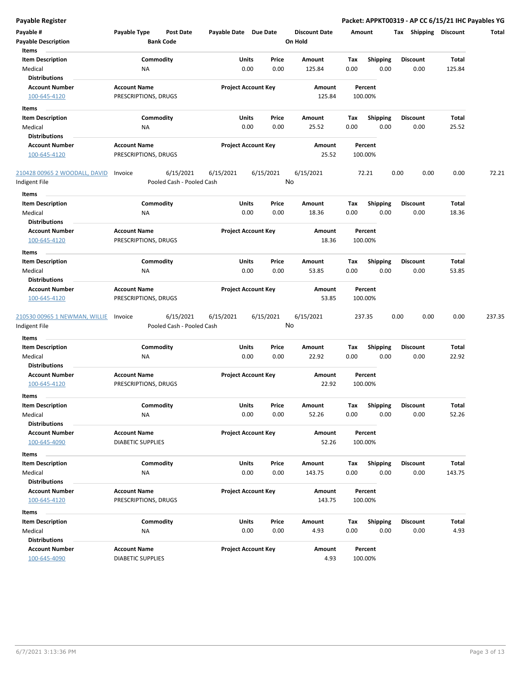| <b>Payable Register</b>       |                          |                           |                       |                            |                      |      |                 | Packet: APPKT00319 - AP CC 6/15/21 IHC Payables YG |              |        |
|-------------------------------|--------------------------|---------------------------|-----------------------|----------------------------|----------------------|------|-----------------|----------------------------------------------------|--------------|--------|
| Payable #                     | Payable Type             | <b>Post Date</b>          | Payable Date Due Date |                            | <b>Discount Date</b> |      | Amount          | Tax Shipping Discount                              |              | Total  |
| <b>Payable Description</b>    |                          | <b>Bank Code</b>          |                       |                            | On Hold              |      |                 |                                                    |              |        |
| Items                         |                          |                           |                       |                            |                      |      |                 |                                                    |              |        |
| <b>Item Description</b>       | Commodity                |                           | Units                 | Price                      | Amount               | Tax  | <b>Shipping</b> | <b>Discount</b>                                    | Total        |        |
| Medical                       | NA                       |                           | 0.00                  | 0.00                       | 125.84               | 0.00 | 0.00            | 0.00                                               | 125.84       |        |
| <b>Distributions</b>          |                          |                           |                       |                            |                      |      |                 |                                                    |              |        |
| <b>Account Number</b>         | <b>Account Name</b>      |                           |                       | <b>Project Account Key</b> | Amount               |      | Percent         |                                                    |              |        |
| 100-645-4120                  | PRESCRIPTIONS, DRUGS     |                           |                       |                            | 125.84               |      | 100.00%         |                                                    |              |        |
| Items                         |                          |                           |                       |                            |                      |      |                 |                                                    |              |        |
| <b>Item Description</b>       | Commodity                |                           | Units                 | Price                      | Amount               | Tax  | <b>Shipping</b> | <b>Discount</b>                                    | Total        |        |
| Medical                       | ΝA                       |                           |                       | 0.00<br>0.00               | 25.52                | 0.00 | 0.00            | 0.00                                               | 25.52        |        |
| <b>Distributions</b>          |                          |                           |                       |                            |                      |      |                 |                                                    |              |        |
| <b>Account Number</b>         | <b>Account Name</b>      |                           |                       | <b>Project Account Key</b> | Amount               |      | Percent         |                                                    |              |        |
| 100-645-4120                  | PRESCRIPTIONS, DRUGS     |                           |                       |                            | 25.52                |      | 100.00%         |                                                    |              |        |
|                               |                          |                           |                       |                            |                      |      |                 |                                                    |              |        |
| 210428 00965 2 WOODALL, DAVID | Invoice                  | 6/15/2021                 | 6/15/2021             | 6/15/2021                  | 6/15/2021<br>No      |      | 72.21           | 0.00<br>0.00                                       | 0.00         | 72.21  |
| Indigent File                 |                          | Pooled Cash - Pooled Cash |                       |                            |                      |      |                 |                                                    |              |        |
| Items                         |                          |                           |                       |                            |                      |      |                 |                                                    |              |        |
| <b>Item Description</b>       | Commodity                |                           | Units                 | Price                      | Amount               | Tax  | <b>Shipping</b> | <b>Discount</b>                                    | <b>Total</b> |        |
| Medical                       | ΝA                       |                           |                       | 0.00<br>0.00               | 18.36                | 0.00 | 0.00            | 0.00                                               | 18.36        |        |
| <b>Distributions</b>          |                          |                           |                       |                            |                      |      |                 |                                                    |              |        |
| <b>Account Number</b>         | <b>Account Name</b>      |                           |                       | <b>Project Account Key</b> | <b>Amount</b>        |      | Percent         |                                                    |              |        |
| 100-645-4120                  | PRESCRIPTIONS, DRUGS     |                           |                       |                            | 18.36                |      | 100.00%         |                                                    |              |        |
| Items                         |                          |                           |                       |                            |                      |      |                 |                                                    |              |        |
| <b>Item Description</b>       | Commodity                |                           | Units                 | Price                      | Amount               | Tax  | <b>Shipping</b> | <b>Discount</b>                                    | Total        |        |
| Medical                       | NA                       |                           | 0.00                  | 0.00                       | 53.85                | 0.00 | 0.00            | 0.00                                               | 53.85        |        |
| <b>Distributions</b>          |                          |                           |                       |                            |                      |      |                 |                                                    |              |        |
| <b>Account Number</b>         | <b>Account Name</b>      |                           |                       | <b>Project Account Key</b> | Amount               |      | Percent         |                                                    |              |        |
| 100-645-4120                  | PRESCRIPTIONS, DRUGS     |                           |                       |                            | 53.85                |      | 100.00%         |                                                    |              |        |
| 210530 00965 1 NEWMAN, WILLIE | Invoice                  | 6/15/2021                 | 6/15/2021             | 6/15/2021                  | 6/15/2021            |      | 237.35          | 0.00<br>0.00                                       | 0.00         | 237.35 |
| Indigent File                 |                          | Pooled Cash - Pooled Cash |                       |                            | No                   |      |                 |                                                    |              |        |
| Items                         |                          |                           |                       |                            |                      |      |                 |                                                    |              |        |
| <b>Item Description</b>       | Commodity                |                           | Units                 | Price                      | Amount               | Tax  | <b>Shipping</b> | <b>Discount</b>                                    | Total        |        |
| Medical                       | NA                       |                           |                       | 0.00<br>0.00               | 22.92                | 0.00 | 0.00            | 0.00                                               | 22.92        |        |
| <b>Distributions</b>          |                          |                           |                       |                            |                      |      |                 |                                                    |              |        |
| <b>Account Number</b>         | <b>Account Name</b>      |                           |                       | <b>Project Account Key</b> | Amount               |      | Percent         |                                                    |              |        |
| 100-645-4120                  | PRESCRIPTIONS, DRUGS     |                           |                       |                            | 22.92                |      | 100.00%         |                                                    |              |        |
| <b>Items</b>                  |                          |                           |                       |                            |                      |      |                 |                                                    |              |        |
| <b>Item Description</b>       | Commodity                |                           | Units                 | Price                      | Amount               | Tax  | <b>Shipping</b> | <b>Discount</b>                                    | Total        |        |
| Medical                       | NA                       |                           |                       | 0.00<br>0.00               | 52.26                | 0.00 | 0.00            | 0.00                                               | 52.26        |        |
| <b>Distributions</b>          |                          |                           |                       |                            |                      |      |                 |                                                    |              |        |
| <b>Account Number</b>         | <b>Account Name</b>      |                           |                       | <b>Project Account Key</b> | Amount               |      | Percent         |                                                    |              |        |
| 100-645-4090                  | <b>DIABETIC SUPPLIES</b> |                           |                       |                            | 52.26                |      | 100.00%         |                                                    |              |        |
| Items                         |                          |                           |                       |                            |                      |      |                 |                                                    |              |        |
| <b>Item Description</b>       | Commodity                |                           | Units                 | Price                      | Amount               | Tax  | <b>Shipping</b> | <b>Discount</b>                                    | Total        |        |
| Medical                       | ΝA                       |                           |                       | 0.00<br>0.00               | 143.75               | 0.00 | 0.00            | 0.00                                               | 143.75       |        |
| <b>Distributions</b>          |                          |                           |                       |                            |                      |      |                 |                                                    |              |        |
| <b>Account Number</b>         | <b>Account Name</b>      |                           |                       | <b>Project Account Key</b> | Amount               |      | Percent         |                                                    |              |        |
| 100-645-4120                  | PRESCRIPTIONS, DRUGS     |                           |                       |                            | 143.75               |      | 100.00%         |                                                    |              |        |
| Items                         |                          |                           |                       |                            |                      |      |                 |                                                    |              |        |
| <b>Item Description</b>       | Commodity                |                           | Units                 | Price                      | Amount               | Tax  | <b>Shipping</b> | <b>Discount</b>                                    | <b>Total</b> |        |
| Medical                       | ΝA                       |                           |                       | 0.00<br>0.00               | 4.93                 | 0.00 | 0.00            | 0.00                                               | 4.93         |        |
| <b>Distributions</b>          |                          |                           |                       |                            |                      |      |                 |                                                    |              |        |
| <b>Account Number</b>         | <b>Account Name</b>      |                           |                       | <b>Project Account Key</b> | Amount               |      | Percent         |                                                    |              |        |
| 100-645-4090                  | DIABETIC SUPPLIES        |                           |                       |                            | 4.93                 |      | 100.00%         |                                                    |              |        |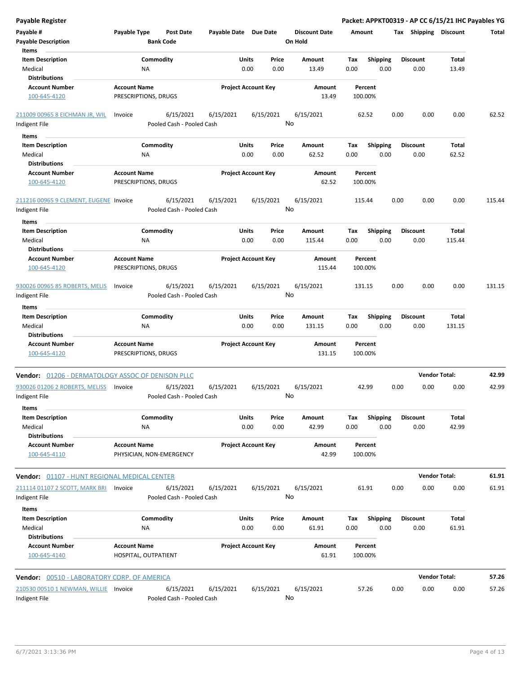| <b>Payable Register</b>                                 |                                                 |                                        |                            |               |                 |                                 |                    |                         |      |                         | Packet: APPKT00319 - AP CC 6/15/21 IHC Payables YG |        |
|---------------------------------------------------------|-------------------------------------------------|----------------------------------------|----------------------------|---------------|-----------------|---------------------------------|--------------------|-------------------------|------|-------------------------|----------------------------------------------------|--------|
| Payable #<br><b>Payable Description</b>                 | Payable Type                                    | <b>Post Date</b><br><b>Bank Code</b>   | Payable Date Due Date      |               |                 | <b>Discount Date</b><br>On Hold | Amount             |                         |      | Tax Shipping Discount   |                                                    | Total  |
| Items                                                   |                                                 |                                        |                            |               |                 |                                 |                    |                         |      |                         |                                                    |        |
| <b>Item Description</b><br>Medical<br>Distributions     | Commodity<br>ΝA                                 |                                        |                            | Units<br>0.00 | Price<br>0.00   | Amount<br>13.49                 | Tax<br>0.00        | <b>Shipping</b><br>0.00 |      | <b>Discount</b><br>0.00 | Total<br>13.49                                     |        |
| <b>Account Number</b>                                   | <b>Account Name</b>                             |                                        | <b>Project Account Key</b> |               |                 | Amount                          | Percent            |                         |      |                         |                                                    |        |
| 100-645-4120                                            | PRESCRIPTIONS, DRUGS                            |                                        |                            |               |                 | 13.49                           | 100.00%            |                         |      |                         |                                                    |        |
| 211009 00965 8 EICHMAN JR, WIL                          | Invoice                                         | 6/15/2021                              | 6/15/2021                  |               | 6/15/2021       | 6/15/2021                       | 62.52              |                         | 0.00 | 0.00                    | 0.00                                               | 62.52  |
| Indigent File                                           |                                                 | Pooled Cash - Pooled Cash              |                            |               | No              |                                 |                    |                         |      |                         |                                                    |        |
| Items                                                   |                                                 |                                        |                            |               |                 |                                 |                    |                         |      |                         |                                                    |        |
| <b>Item Description</b>                                 | Commodity                                       |                                        |                            | Units         | Price           | Amount                          | Tax                | <b>Shipping</b>         |      | <b>Discount</b>         | Total                                              |        |
| Medical                                                 | ΝA                                              |                                        |                            | 0.00          | 0.00            | 62.52                           | 0.00               | 0.00                    |      | 0.00                    | 62.52                                              |        |
| <b>Distributions</b>                                    |                                                 |                                        |                            |               |                 |                                 |                    |                         |      |                         |                                                    |        |
| <b>Account Number</b>                                   | <b>Account Name</b>                             |                                        | <b>Project Account Key</b> |               |                 | Amount                          | Percent            |                         |      |                         |                                                    |        |
| 100-645-4120                                            | PRESCRIPTIONS, DRUGS                            |                                        |                            |               |                 | 62.52                           | 100.00%            |                         |      |                         |                                                    |        |
| 211216 00965 9 CLEMENT, EUGENE Invoice<br>Indigent File |                                                 | 6/15/2021<br>Pooled Cash - Pooled Cash | 6/15/2021                  |               | 6/15/2021<br>No | 6/15/2021                       | 115.44             |                         | 0.00 | 0.00                    | 0.00                                               | 115.44 |
| Items                                                   |                                                 |                                        |                            |               |                 |                                 |                    |                         |      |                         |                                                    |        |
| <b>Item Description</b>                                 | Commodity                                       |                                        |                            | Units         | Price           | Amount                          | Tax                | <b>Shipping</b>         |      | <b>Discount</b>         | Total                                              |        |
| Medical                                                 | NA                                              |                                        |                            | 0.00          | 0.00            | 115.44                          | 0.00               | 0.00                    |      | 0.00                    | 115.44                                             |        |
| <b>Distributions</b>                                    |                                                 |                                        |                            |               |                 |                                 |                    |                         |      |                         |                                                    |        |
| <b>Account Number</b><br>100-645-4120                   | <b>Account Name</b><br>PRESCRIPTIONS, DRUGS     |                                        | <b>Project Account Key</b> |               |                 | Amount<br>115.44                | Percent<br>100.00% |                         |      |                         |                                                    |        |
| 930026 00965 85 ROBERTS, MELIS                          | Invoice                                         | 6/15/2021                              | 6/15/2021                  |               | 6/15/2021       | 6/15/2021                       | 131.15             |                         | 0.00 | 0.00                    | 0.00                                               | 131.15 |
| Indigent File                                           |                                                 | Pooled Cash - Pooled Cash              |                            |               | No              |                                 |                    |                         |      |                         |                                                    |        |
| Items                                                   |                                                 |                                        |                            |               |                 |                                 |                    |                         |      |                         |                                                    |        |
| <b>Item Description</b>                                 | Commodity                                       |                                        |                            | Units         | Price           | Amount                          | Tax                | <b>Shipping</b>         |      | <b>Discount</b>         | Total                                              |        |
| Medical                                                 | NA                                              |                                        |                            | 0.00          | 0.00            | 131.15                          | 0.00               | 0.00                    |      | 0.00                    | 131.15                                             |        |
| <b>Distributions</b>                                    |                                                 |                                        |                            |               |                 |                                 |                    |                         |      |                         |                                                    |        |
| <b>Account Number</b>                                   | <b>Account Name</b>                             |                                        | <b>Project Account Key</b> |               |                 | <b>Amount</b>                   | Percent            |                         |      |                         |                                                    |        |
| 100-645-4120                                            | PRESCRIPTIONS, DRUGS                            |                                        |                            |               |                 | 131.15                          | 100.00%            |                         |      |                         |                                                    |        |
| Vendor: 01206 - DERMATOLOGY ASSOC OF DENISON PLLC       |                                                 |                                        |                            |               |                 |                                 |                    |                         |      | <b>Vendor Total:</b>    |                                                    | 42.99  |
| 930026 01206 2 ROBERTS, MELISS<br>Indigent File         | Invoice                                         | 6/15/2021<br>Pooled Cash - Pooled Cash | 6/15/2021                  |               | 6/15/2021<br>No | 6/15/2021                       | 42.99              |                         | 0.00 | 0.00                    | 0.00                                               | 42.99  |
| Items                                                   |                                                 |                                        |                            |               |                 |                                 |                    |                         |      |                         |                                                    |        |
| <b>Item Description</b><br>Medical                      | Commodity                                       |                                        |                            | Units<br>0.00 | Price           | Amount<br>42.99                 | Tax<br>0.00        | <b>Shipping</b><br>0.00 |      | <b>Discount</b><br>0.00 | Total<br>42.99                                     |        |
| <b>Distributions</b>                                    | ΝA                                              |                                        |                            |               | 0.00            |                                 |                    |                         |      |                         |                                                    |        |
| <b>Account Number</b><br>100-645-4110                   | <b>Account Name</b><br>PHYSICIAN, NON-EMERGENCY |                                        | <b>Project Account Key</b> |               |                 | Amount<br>42.99                 | Percent<br>100.00% |                         |      |                         |                                                    |        |
| Vendor: 01107 - HUNT REGIONAL MEDICAL CENTER            |                                                 |                                        |                            |               |                 |                                 |                    |                         |      | <b>Vendor Total:</b>    |                                                    | 61.91  |
| 211114 01107 2 SCOTT, MARK BRI                          | Invoice                                         | 6/15/2021                              | 6/15/2021                  |               | 6/15/2021       | 6/15/2021                       | 61.91              |                         | 0.00 | 0.00                    | 0.00                                               | 61.91  |
| Indigent File<br>Items                                  |                                                 | Pooled Cash - Pooled Cash              |                            |               | No              |                                 |                    |                         |      |                         |                                                    |        |
| <b>Item Description</b>                                 | Commodity                                       |                                        |                            | Units         | Price           | Amount                          | Tax                | <b>Shipping</b>         |      | <b>Discount</b>         | Total                                              |        |
| Medical                                                 | ΝA                                              |                                        |                            | 0.00          | 0.00            | 61.91                           | 0.00               | 0.00                    |      | 0.00                    | 61.91                                              |        |
| <b>Distributions</b>                                    |                                                 |                                        |                            |               |                 |                                 |                    |                         |      |                         |                                                    |        |
| <b>Account Number</b><br>100-645-4140                   | <b>Account Name</b><br>HOSPITAL, OUTPATIENT     |                                        | <b>Project Account Key</b> |               |                 | Amount<br>61.91                 | Percent<br>100.00% |                         |      |                         |                                                    |        |
| Vendor: 00510 - LABORATORY CORP. OF AMERICA             |                                                 |                                        |                            |               |                 |                                 |                    |                         |      | <b>Vendor Total:</b>    |                                                    | 57.26  |
| 210530 00510 1 NEWMAN, WILLIE Invoice                   |                                                 | 6/15/2021                              | 6/15/2021                  |               | 6/15/2021       | 6/15/2021                       | 57.26              |                         | 0.00 | 0.00                    | 0.00                                               | 57.26  |
| Indigent File                                           |                                                 | Pooled Cash - Pooled Cash              |                            |               | No              |                                 |                    |                         |      |                         |                                                    |        |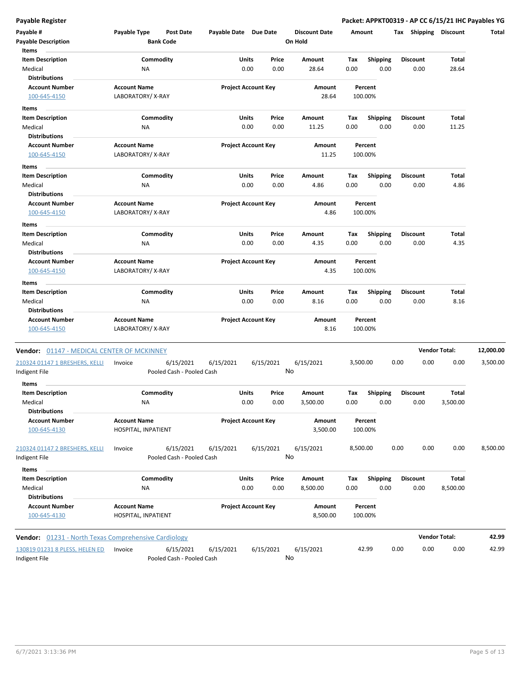**Payable Register Packet: APPKT00319 - AP CC 6/15/21 IHC Payables YG**

| Payable #                                            | Payable Type        | <b>Post Date</b>          |           | Payable Date Due Date      |       |           | <b>Discount Date</b> |          | Amount          | Tax  | Shipping        | <b>Discount</b>      | Total     |
|------------------------------------------------------|---------------------|---------------------------|-----------|----------------------------|-------|-----------|----------------------|----------|-----------------|------|-----------------|----------------------|-----------|
| <b>Payable Description</b>                           |                     | <b>Bank Code</b>          |           |                            |       |           | On Hold              |          |                 |      |                 |                      |           |
| Items<br><b>Item Description</b>                     |                     | Commodity                 |           |                            | Units | Price     | Amount               | Tax      | <b>Shipping</b> |      | <b>Discount</b> | Total                |           |
| Medical                                              | ΝA                  |                           |           |                            | 0.00  | 0.00      | 28.64                | 0.00     | 0.00            |      | 0.00            | 28.64                |           |
| <b>Distributions</b>                                 |                     |                           |           |                            |       |           |                      |          |                 |      |                 |                      |           |
| <b>Account Number</b>                                | <b>Account Name</b> |                           |           | <b>Project Account Key</b> |       |           | Amount               |          | Percent         |      |                 |                      |           |
| 100-645-4150                                         | LABORATORY/X-RAY    |                           |           |                            |       |           | 28.64                |          | 100.00%         |      |                 |                      |           |
| Items                                                |                     |                           |           |                            |       |           |                      |          |                 |      |                 |                      |           |
| <b>Item Description</b>                              |                     | Commodity                 |           |                            | Units | Price     | Amount               | Тах      | <b>Shipping</b> |      | <b>Discount</b> | Total                |           |
| Medical                                              | NA                  |                           |           |                            | 0.00  | 0.00      | 11.25                | 0.00     | 0.00            |      | 0.00            | 11.25                |           |
| <b>Distributions</b>                                 |                     |                           |           |                            |       |           |                      |          |                 |      |                 |                      |           |
| <b>Account Number</b>                                | <b>Account Name</b> |                           |           | <b>Project Account Key</b> |       |           | <b>Amount</b>        |          | Percent         |      |                 |                      |           |
| 100-645-4150                                         | LABORATORY/X-RAY    |                           |           |                            |       |           | 11.25                |          | 100.00%         |      |                 |                      |           |
| Items                                                |                     |                           |           |                            |       |           |                      |          |                 |      |                 |                      |           |
| <b>Item Description</b>                              |                     | Commodity                 |           |                            | Units | Price     | Amount               | Tax      | <b>Shipping</b> |      | <b>Discount</b> | Total                |           |
| Medical                                              | NA                  |                           |           |                            | 0.00  | 0.00      | 4.86                 | 0.00     | 0.00            |      | 0.00            | 4.86                 |           |
| <b>Distributions</b>                                 |                     |                           |           |                            |       |           |                      |          |                 |      |                 |                      |           |
| <b>Account Number</b>                                | <b>Account Name</b> |                           |           | <b>Project Account Key</b> |       |           | Amount               |          | Percent         |      |                 |                      |           |
| 100-645-4150                                         | LABORATORY/X-RAY    |                           |           |                            |       |           | 4.86                 |          | 100.00%         |      |                 |                      |           |
| Items                                                |                     |                           |           |                            |       |           |                      |          |                 |      |                 |                      |           |
| <b>Item Description</b>                              |                     | Commodity                 |           |                            | Units | Price     | Amount               | Tax      | <b>Shipping</b> |      | <b>Discount</b> | Total                |           |
| Medical                                              | ΝA                  |                           |           |                            | 0.00  | 0.00      | 4.35                 | 0.00     | 0.00            |      | 0.00            | 4.35                 |           |
| <b>Distributions</b>                                 |                     |                           |           |                            |       |           |                      |          |                 |      |                 |                      |           |
| <b>Account Number</b>                                | <b>Account Name</b> |                           |           | <b>Project Account Key</b> |       |           | Amount               |          | Percent         |      |                 |                      |           |
| 100-645-4150                                         | LABORATORY/X-RAY    |                           |           |                            |       |           | 4.35                 |          | 100.00%         |      |                 |                      |           |
| Items                                                |                     |                           |           |                            |       |           |                      |          |                 |      |                 |                      |           |
| <b>Item Description</b>                              |                     | Commodity                 |           |                            | Units | Price     | Amount               | Tax      | <b>Shipping</b> |      | <b>Discount</b> | Total                |           |
| Medical                                              | <b>NA</b>           |                           |           |                            | 0.00  | 0.00      | 8.16                 | 0.00     | 0.00            |      | 0.00            | 8.16                 |           |
| <b>Distributions</b>                                 |                     |                           |           |                            |       |           |                      |          |                 |      |                 |                      |           |
| <b>Account Number</b>                                | <b>Account Name</b> |                           |           | <b>Project Account Key</b> |       |           | Amount               |          | Percent         |      |                 |                      |           |
| 100-645-4150                                         | LABORATORY/X-RAY    |                           |           |                            |       |           | 8.16                 |          | 100.00%         |      |                 |                      |           |
| Vendor: 01147 - MEDICAL CENTER OF MCKINNEY           |                     |                           |           |                            |       |           |                      |          |                 |      |                 | <b>Vendor Total:</b> | 12,000.00 |
| 210324 01147 1 BRESHERS, KELLI                       | Invoice             |                           | 6/15/2021 | 6/15/2021                  |       | 6/15/2021 | 6/15/2021            | 3,500.00 |                 | 0.00 | 0.00            | 0.00                 | 3,500.00  |
| Indigent File                                        |                     | Pooled Cash - Pooled Cash |           |                            |       |           | No                   |          |                 |      |                 |                      |           |
| Items                                                |                     |                           |           |                            |       |           |                      |          |                 |      |                 |                      |           |
| <b>Item Description</b>                              |                     | Commodity                 |           |                            | Units | Price     | Amount               | Tax      | <b>Shipping</b> |      | <b>Discount</b> | Total                |           |
| Medical                                              | ΝA                  |                           |           |                            | 0.00  | 0.00      | 3,500.00             | 0.00     | 0.00            |      | 0.00            | 3,500.00             |           |
| <b>Distributions</b>                                 |                     |                           |           |                            |       |           |                      |          |                 |      |                 |                      |           |
| <b>Account Number</b>                                | <b>Account Name</b> |                           |           | <b>Project Account Key</b> |       |           | <b>Amount</b>        |          | Percent         |      |                 |                      |           |
| 100-645-4130                                         | HOSPITAL, INPATIENT |                           |           |                            |       |           | 3,500.00             |          | 100.00%         |      |                 |                      |           |
| 210324 01147 2 BRESHERS, KELLI                       | Invoice             |                           | 6/15/2021 | 6/15/2021                  |       | 6/15/2021 | 6/15/2021            | 8,500.00 |                 | 0.00 | 0.00            | 0.00                 | 8,500.00  |
| Indigent File                                        |                     | Pooled Cash - Pooled Cash |           |                            |       |           | No                   |          |                 |      |                 |                      |           |
| Items                                                |                     |                           |           |                            |       |           |                      |          |                 |      |                 |                      |           |
| <b>Item Description</b>                              |                     | Commodity                 |           |                            | Units | Price     | Amount               | Tax      | Shipping        |      | <b>Discount</b> | <b>Total</b>         |           |
| Medical                                              | ΝA                  |                           |           |                            | 0.00  | 0.00      | 8,500.00             | 0.00     | 0.00            |      | 0.00            | 8,500.00             |           |
| <b>Distributions</b>                                 |                     |                           |           |                            |       |           |                      |          |                 |      |                 |                      |           |
| <b>Account Number</b>                                | <b>Account Name</b> |                           |           | <b>Project Account Key</b> |       |           | Amount               |          | Percent         |      |                 |                      |           |
| 100-645-4130                                         | HOSPITAL, INPATIENT |                           |           |                            |       |           | 8,500.00             |          | 100.00%         |      |                 |                      |           |
| Vendor: 01231 - North Texas Comprehensive Cardiology |                     |                           |           |                            |       |           |                      |          |                 |      |                 | <b>Vendor Total:</b> | 42.99     |
| 130819 01231 8 PLESS, HELEN ED                       | Invoice             |                           | 6/15/2021 | 6/15/2021                  |       | 6/15/2021 | 6/15/2021            |          | 42.99           | 0.00 | 0.00            | 0.00                 | 42.99     |
|                                                      |                     |                           |           |                            |       |           |                      |          |                 |      |                 |                      |           |

Indigent File **Pooled Cash - Pooled Cash** 

No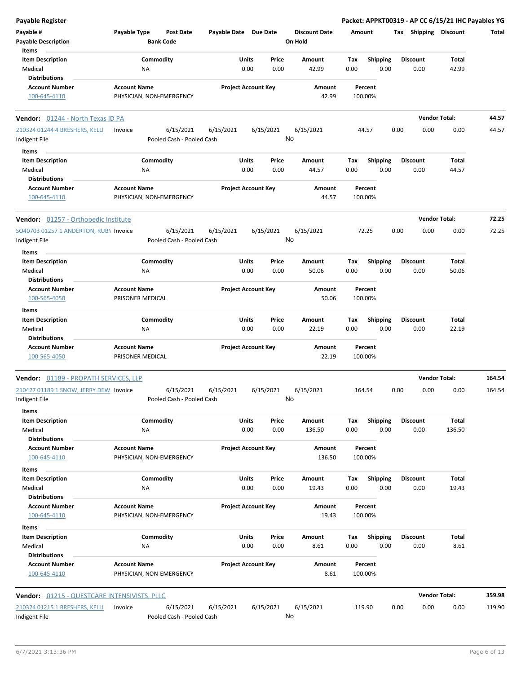| Payable #<br>Payable Type<br><b>Post Date</b><br>Payable Date Due Date<br>Tax Shipping Discount<br><b>Discount Date</b><br>Amount<br>Total<br><b>Bank Code</b><br>On Hold<br><b>Payable Description</b><br>Items<br><b>Item Description</b><br>Commodity<br>Units<br>Price<br><b>Shipping</b><br><b>Discount</b><br><b>Total</b><br>Amount<br>Tax<br>Medical<br>0.00<br>0.00<br>42.99<br>0.00<br>0.00<br>0.00<br>42.99<br>ΝA<br><b>Distributions</b><br><b>Project Account Key</b><br><b>Account Number</b><br><b>Account Name</b><br>Amount<br>Percent<br>42.99<br>100-645-4110<br>PHYSICIAN, NON-EMERGENCY<br>100.00%<br><b>Vendor Total:</b><br>Vendor: 01244 - North Texas ID PA<br>6/15/2021<br>6/15/2021<br>6/15/2021<br>6/15/2021<br>44.57<br>0.00<br>0.00<br>0.00<br>Invoice<br>No<br>Pooled Cash - Pooled Cash<br>Indigent File<br>Items<br>Commodity<br>Units<br>Price<br>Total<br><b>Item Description</b><br>Amount<br>Tax<br><b>Shipping</b><br><b>Discount</b><br>0.00<br>0.00<br>0.00<br>Medical<br>0.00<br>44.57<br>0.00<br>44.57<br>ΝA<br><b>Distributions</b><br><b>Project Account Key</b><br><b>Account Number</b><br><b>Account Name</b><br>Amount<br>Percent<br>44.57<br>100.00%<br>100-645-4110<br>PHYSICIAN, NON-EMERGENCY<br>72.25<br><b>Vendor Total:</b><br>Vendor: 01257 - Orthopedic Institute<br>6/15/2021<br>6/15/2021<br>6/15/2021<br>SO40703 01257 1 ANDERTON, RUB) Invoice<br>6/15/2021<br>72.25<br>0.00<br>0.00<br>0.00<br>72.25<br>No<br>Pooled Cash - Pooled Cash<br>Items<br>Commodity<br>Units<br><b>Item Description</b><br>Price<br>Amount<br>Tax<br><b>Shipping</b><br><b>Discount</b><br>Total<br>Medical<br>0.00<br>0.00<br>50.06<br>0.00<br>0.00<br>0.00<br>50.06<br>ΝA<br><b>Distributions</b><br><b>Account Name</b><br><b>Project Account Key</b><br><b>Account Number</b><br>Amount<br>Percent<br>100-565-4050<br>PRISONER MEDICAL<br>50.06<br>100.00%<br>Items<br><b>Item Description</b><br>Commodity<br>Units<br>Price<br>Amount<br>Tax<br><b>Shipping</b><br><b>Discount</b><br>Total<br>Medical<br>0.00<br>0.00<br>22.19<br>0.00<br>0.00<br>0.00<br>22.19<br>ΝA<br><b>Distributions</b><br><b>Project Account Key</b><br><b>Account Number</b><br><b>Account Name</b><br>Amount<br>Percent<br>PRISONER MEDICAL<br>22.19<br>100-565-4050<br>100.00%<br><b>Vendor Total:</b><br>164.54<br><b>Vendor:</b> 01189 - PROPATH SERVICES, LLP<br>210427 01189 1 SNOW, JERRY DEW Invoice<br>6/15/2021<br>6/15/2021<br>6/15/2021<br>6/15/2021<br>164.54<br>0.00<br>0.00<br>0.00<br>164.54<br>No<br>Indigent File<br>Pooled Cash - Pooled Cash<br>Items<br><b>Total</b><br><b>Item Description</b><br>Commodity<br>Units<br>Price<br>Amount<br>Tax<br>Shipping<br><b>Discount</b><br>Medical<br>0.00<br>0.00<br>0.00<br>0.00<br>136.50<br>ΝA<br>0.00<br>136.50<br><b>Distributions</b><br><b>Account Number</b><br><b>Account Name</b><br><b>Project Account Key</b><br>Amount<br>Percent<br>PHYSICIAN, NON-EMERGENCY<br>136.50<br>100.00%<br>100-645-4110<br>Items<br><b>Item Description</b><br>Commodity<br>Units<br>Price<br><b>Shipping</b><br>Amount<br>Tax<br><b>Discount</b><br>Total<br>0.00<br>0.00<br>0.00<br>Medical<br>ΝA<br>0.00<br>19.43<br>0.00<br>19.43<br><b>Distributions</b><br><b>Account Name</b><br><b>Project Account Key</b><br><b>Account Number</b><br>Amount<br>Percent<br>PHYSICIAN, NON-EMERGENCY<br>19.43<br>100.00%<br>100-645-4110<br>Items<br><b>Item Description</b><br>Commodity<br><b>Units</b><br>Price<br>Shipping<br><b>Discount</b><br>Total<br>Amount<br>Tax<br>0.00<br>8.61<br>Medical<br>NA<br>0.00<br>0.00<br>8.61<br>0.00<br>0.00<br><b>Distributions</b><br><b>Account Number</b><br><b>Account Name</b><br><b>Project Account Key</b><br>Amount<br>Percent<br>100-645-4110<br>PHYSICIAN, NON-EMERGENCY<br>8.61<br>100.00%<br><b>Vendor Total:</b><br><b>Vendor: 01215 - QUESTCARE INTENSIVISTS, PLLC</b><br>6/15/2021<br>6/15/2021<br>6/15/2021<br>6/15/2021<br>0.00<br>0.00<br>0.00<br>Invoice<br>119.90<br>No<br>Indigent File<br>Pooled Cash - Pooled Cash | <b>Payable Register</b>        |  |  |  | Packet: APPKT00319 - AP CC 6/15/21 IHC Payables YG |  |
|--------------------------------------------------------------------------------------------------------------------------------------------------------------------------------------------------------------------------------------------------------------------------------------------------------------------------------------------------------------------------------------------------------------------------------------------------------------------------------------------------------------------------------------------------------------------------------------------------------------------------------------------------------------------------------------------------------------------------------------------------------------------------------------------------------------------------------------------------------------------------------------------------------------------------------------------------------------------------------------------------------------------------------------------------------------------------------------------------------------------------------------------------------------------------------------------------------------------------------------------------------------------------------------------------------------------------------------------------------------------------------------------------------------------------------------------------------------------------------------------------------------------------------------------------------------------------------------------------------------------------------------------------------------------------------------------------------------------------------------------------------------------------------------------------------------------------------------------------------------------------------------------------------------------------------------------------------------------------------------------------------------------------------------------------------------------------------------------------------------------------------------------------------------------------------------------------------------------------------------------------------------------------------------------------------------------------------------------------------------------------------------------------------------------------------------------------------------------------------------------------------------------------------------------------------------------------------------------------------------------------------------------------------------------------------------------------------------------------------------------------------------------------------------------------------------------------------------------------------------------------------------------------------------------------------------------------------------------------------------------------------------------------------------------------------------------------------------------------------------------------------------------------------------------------------------------------------------------------------------------------------------------------------------------------------------------------------------------------------------------------------------------------------------------------------------------------------------------------------------------------------------------------------------------------------------------------------------------------------------------------------------------------------------------------------------------------------------------------------------------------------------------------------------------------------------------------------------------------------------------------------------------------------------------------------------------------------------------------------------------------------------------------------------------------------|--------------------------------|--|--|--|----------------------------------------------------|--|
|                                                                                                                                                                                                                                                                                                                                                                                                                                                                                                                                                                                                                                                                                                                                                                                                                                                                                                                                                                                                                                                                                                                                                                                                                                                                                                                                                                                                                                                                                                                                                                                                                                                                                                                                                                                                                                                                                                                                                                                                                                                                                                                                                                                                                                                                                                                                                                                                                                                                                                                                                                                                                                                                                                                                                                                                                                                                                                                                                                                                                                                                                                                                                                                                                                                                                                                                                                                                                                                                                                                                                                                                                                                                                                                                                                                                                                                                                                                                                                                                                                                        |                                |  |  |  |                                                    |  |
|                                                                                                                                                                                                                                                                                                                                                                                                                                                                                                                                                                                                                                                                                                                                                                                                                                                                                                                                                                                                                                                                                                                                                                                                                                                                                                                                                                                                                                                                                                                                                                                                                                                                                                                                                                                                                                                                                                                                                                                                                                                                                                                                                                                                                                                                                                                                                                                                                                                                                                                                                                                                                                                                                                                                                                                                                                                                                                                                                                                                                                                                                                                                                                                                                                                                                                                                                                                                                                                                                                                                                                                                                                                                                                                                                                                                                                                                                                                                                                                                                                                        |                                |  |  |  |                                                    |  |
|                                                                                                                                                                                                                                                                                                                                                                                                                                                                                                                                                                                                                                                                                                                                                                                                                                                                                                                                                                                                                                                                                                                                                                                                                                                                                                                                                                                                                                                                                                                                                                                                                                                                                                                                                                                                                                                                                                                                                                                                                                                                                                                                                                                                                                                                                                                                                                                                                                                                                                                                                                                                                                                                                                                                                                                                                                                                                                                                                                                                                                                                                                                                                                                                                                                                                                                                                                                                                                                                                                                                                                                                                                                                                                                                                                                                                                                                                                                                                                                                                                                        |                                |  |  |  |                                                    |  |
|                                                                                                                                                                                                                                                                                                                                                                                                                                                                                                                                                                                                                                                                                                                                                                                                                                                                                                                                                                                                                                                                                                                                                                                                                                                                                                                                                                                                                                                                                                                                                                                                                                                                                                                                                                                                                                                                                                                                                                                                                                                                                                                                                                                                                                                                                                                                                                                                                                                                                                                                                                                                                                                                                                                                                                                                                                                                                                                                                                                                                                                                                                                                                                                                                                                                                                                                                                                                                                                                                                                                                                                                                                                                                                                                                                                                                                                                                                                                                                                                                                                        |                                |  |  |  |                                                    |  |
|                                                                                                                                                                                                                                                                                                                                                                                                                                                                                                                                                                                                                                                                                                                                                                                                                                                                                                                                                                                                                                                                                                                                                                                                                                                                                                                                                                                                                                                                                                                                                                                                                                                                                                                                                                                                                                                                                                                                                                                                                                                                                                                                                                                                                                                                                                                                                                                                                                                                                                                                                                                                                                                                                                                                                                                                                                                                                                                                                                                                                                                                                                                                                                                                                                                                                                                                                                                                                                                                                                                                                                                                                                                                                                                                                                                                                                                                                                                                                                                                                                                        |                                |  |  |  |                                                    |  |
| 44.57<br>44.57<br>359.98<br>119.90                                                                                                                                                                                                                                                                                                                                                                                                                                                                                                                                                                                                                                                                                                                                                                                                                                                                                                                                                                                                                                                                                                                                                                                                                                                                                                                                                                                                                                                                                                                                                                                                                                                                                                                                                                                                                                                                                                                                                                                                                                                                                                                                                                                                                                                                                                                                                                                                                                                                                                                                                                                                                                                                                                                                                                                                                                                                                                                                                                                                                                                                                                                                                                                                                                                                                                                                                                                                                                                                                                                                                                                                                                                                                                                                                                                                                                                                                                                                                                                                                     |                                |  |  |  |                                                    |  |
|                                                                                                                                                                                                                                                                                                                                                                                                                                                                                                                                                                                                                                                                                                                                                                                                                                                                                                                                                                                                                                                                                                                                                                                                                                                                                                                                                                                                                                                                                                                                                                                                                                                                                                                                                                                                                                                                                                                                                                                                                                                                                                                                                                                                                                                                                                                                                                                                                                                                                                                                                                                                                                                                                                                                                                                                                                                                                                                                                                                                                                                                                                                                                                                                                                                                                                                                                                                                                                                                                                                                                                                                                                                                                                                                                                                                                                                                                                                                                                                                                                                        |                                |  |  |  |                                                    |  |
|                                                                                                                                                                                                                                                                                                                                                                                                                                                                                                                                                                                                                                                                                                                                                                                                                                                                                                                                                                                                                                                                                                                                                                                                                                                                                                                                                                                                                                                                                                                                                                                                                                                                                                                                                                                                                                                                                                                                                                                                                                                                                                                                                                                                                                                                                                                                                                                                                                                                                                                                                                                                                                                                                                                                                                                                                                                                                                                                                                                                                                                                                                                                                                                                                                                                                                                                                                                                                                                                                                                                                                                                                                                                                                                                                                                                                                                                                                                                                                                                                                                        |                                |  |  |  |                                                    |  |
|                                                                                                                                                                                                                                                                                                                                                                                                                                                                                                                                                                                                                                                                                                                                                                                                                                                                                                                                                                                                                                                                                                                                                                                                                                                                                                                                                                                                                                                                                                                                                                                                                                                                                                                                                                                                                                                                                                                                                                                                                                                                                                                                                                                                                                                                                                                                                                                                                                                                                                                                                                                                                                                                                                                                                                                                                                                                                                                                                                                                                                                                                                                                                                                                                                                                                                                                                                                                                                                                                                                                                                                                                                                                                                                                                                                                                                                                                                                                                                                                                                                        | 210324 01244 4 BRESHERS, KELLI |  |  |  |                                                    |  |
|                                                                                                                                                                                                                                                                                                                                                                                                                                                                                                                                                                                                                                                                                                                                                                                                                                                                                                                                                                                                                                                                                                                                                                                                                                                                                                                                                                                                                                                                                                                                                                                                                                                                                                                                                                                                                                                                                                                                                                                                                                                                                                                                                                                                                                                                                                                                                                                                                                                                                                                                                                                                                                                                                                                                                                                                                                                                                                                                                                                                                                                                                                                                                                                                                                                                                                                                                                                                                                                                                                                                                                                                                                                                                                                                                                                                                                                                                                                                                                                                                                                        |                                |  |  |  |                                                    |  |
|                                                                                                                                                                                                                                                                                                                                                                                                                                                                                                                                                                                                                                                                                                                                                                                                                                                                                                                                                                                                                                                                                                                                                                                                                                                                                                                                                                                                                                                                                                                                                                                                                                                                                                                                                                                                                                                                                                                                                                                                                                                                                                                                                                                                                                                                                                                                                                                                                                                                                                                                                                                                                                                                                                                                                                                                                                                                                                                                                                                                                                                                                                                                                                                                                                                                                                                                                                                                                                                                                                                                                                                                                                                                                                                                                                                                                                                                                                                                                                                                                                                        |                                |  |  |  |                                                    |  |
|                                                                                                                                                                                                                                                                                                                                                                                                                                                                                                                                                                                                                                                                                                                                                                                                                                                                                                                                                                                                                                                                                                                                                                                                                                                                                                                                                                                                                                                                                                                                                                                                                                                                                                                                                                                                                                                                                                                                                                                                                                                                                                                                                                                                                                                                                                                                                                                                                                                                                                                                                                                                                                                                                                                                                                                                                                                                                                                                                                                                                                                                                                                                                                                                                                                                                                                                                                                                                                                                                                                                                                                                                                                                                                                                                                                                                                                                                                                                                                                                                                                        |                                |  |  |  |                                                    |  |
|                                                                                                                                                                                                                                                                                                                                                                                                                                                                                                                                                                                                                                                                                                                                                                                                                                                                                                                                                                                                                                                                                                                                                                                                                                                                                                                                                                                                                                                                                                                                                                                                                                                                                                                                                                                                                                                                                                                                                                                                                                                                                                                                                                                                                                                                                                                                                                                                                                                                                                                                                                                                                                                                                                                                                                                                                                                                                                                                                                                                                                                                                                                                                                                                                                                                                                                                                                                                                                                                                                                                                                                                                                                                                                                                                                                                                                                                                                                                                                                                                                                        |                                |  |  |  |                                                    |  |
|                                                                                                                                                                                                                                                                                                                                                                                                                                                                                                                                                                                                                                                                                                                                                                                                                                                                                                                                                                                                                                                                                                                                                                                                                                                                                                                                                                                                                                                                                                                                                                                                                                                                                                                                                                                                                                                                                                                                                                                                                                                                                                                                                                                                                                                                                                                                                                                                                                                                                                                                                                                                                                                                                                                                                                                                                                                                                                                                                                                                                                                                                                                                                                                                                                                                                                                                                                                                                                                                                                                                                                                                                                                                                                                                                                                                                                                                                                                                                                                                                                                        |                                |  |  |  |                                                    |  |
|                                                                                                                                                                                                                                                                                                                                                                                                                                                                                                                                                                                                                                                                                                                                                                                                                                                                                                                                                                                                                                                                                                                                                                                                                                                                                                                                                                                                                                                                                                                                                                                                                                                                                                                                                                                                                                                                                                                                                                                                                                                                                                                                                                                                                                                                                                                                                                                                                                                                                                                                                                                                                                                                                                                                                                                                                                                                                                                                                                                                                                                                                                                                                                                                                                                                                                                                                                                                                                                                                                                                                                                                                                                                                                                                                                                                                                                                                                                                                                                                                                                        |                                |  |  |  |                                                    |  |
|                                                                                                                                                                                                                                                                                                                                                                                                                                                                                                                                                                                                                                                                                                                                                                                                                                                                                                                                                                                                                                                                                                                                                                                                                                                                                                                                                                                                                                                                                                                                                                                                                                                                                                                                                                                                                                                                                                                                                                                                                                                                                                                                                                                                                                                                                                                                                                                                                                                                                                                                                                                                                                                                                                                                                                                                                                                                                                                                                                                                                                                                                                                                                                                                                                                                                                                                                                                                                                                                                                                                                                                                                                                                                                                                                                                                                                                                                                                                                                                                                                                        |                                |  |  |  |                                                    |  |
|                                                                                                                                                                                                                                                                                                                                                                                                                                                                                                                                                                                                                                                                                                                                                                                                                                                                                                                                                                                                                                                                                                                                                                                                                                                                                                                                                                                                                                                                                                                                                                                                                                                                                                                                                                                                                                                                                                                                                                                                                                                                                                                                                                                                                                                                                                                                                                                                                                                                                                                                                                                                                                                                                                                                                                                                                                                                                                                                                                                                                                                                                                                                                                                                                                                                                                                                                                                                                                                                                                                                                                                                                                                                                                                                                                                                                                                                                                                                                                                                                                                        | Indigent File                  |  |  |  |                                                    |  |
|                                                                                                                                                                                                                                                                                                                                                                                                                                                                                                                                                                                                                                                                                                                                                                                                                                                                                                                                                                                                                                                                                                                                                                                                                                                                                                                                                                                                                                                                                                                                                                                                                                                                                                                                                                                                                                                                                                                                                                                                                                                                                                                                                                                                                                                                                                                                                                                                                                                                                                                                                                                                                                                                                                                                                                                                                                                                                                                                                                                                                                                                                                                                                                                                                                                                                                                                                                                                                                                                                                                                                                                                                                                                                                                                                                                                                                                                                                                                                                                                                                                        |                                |  |  |  |                                                    |  |
|                                                                                                                                                                                                                                                                                                                                                                                                                                                                                                                                                                                                                                                                                                                                                                                                                                                                                                                                                                                                                                                                                                                                                                                                                                                                                                                                                                                                                                                                                                                                                                                                                                                                                                                                                                                                                                                                                                                                                                                                                                                                                                                                                                                                                                                                                                                                                                                                                                                                                                                                                                                                                                                                                                                                                                                                                                                                                                                                                                                                                                                                                                                                                                                                                                                                                                                                                                                                                                                                                                                                                                                                                                                                                                                                                                                                                                                                                                                                                                                                                                                        |                                |  |  |  |                                                    |  |
|                                                                                                                                                                                                                                                                                                                                                                                                                                                                                                                                                                                                                                                                                                                                                                                                                                                                                                                                                                                                                                                                                                                                                                                                                                                                                                                                                                                                                                                                                                                                                                                                                                                                                                                                                                                                                                                                                                                                                                                                                                                                                                                                                                                                                                                                                                                                                                                                                                                                                                                                                                                                                                                                                                                                                                                                                                                                                                                                                                                                                                                                                                                                                                                                                                                                                                                                                                                                                                                                                                                                                                                                                                                                                                                                                                                                                                                                                                                                                                                                                                                        |                                |  |  |  |                                                    |  |
|                                                                                                                                                                                                                                                                                                                                                                                                                                                                                                                                                                                                                                                                                                                                                                                                                                                                                                                                                                                                                                                                                                                                                                                                                                                                                                                                                                                                                                                                                                                                                                                                                                                                                                                                                                                                                                                                                                                                                                                                                                                                                                                                                                                                                                                                                                                                                                                                                                                                                                                                                                                                                                                                                                                                                                                                                                                                                                                                                                                                                                                                                                                                                                                                                                                                                                                                                                                                                                                                                                                                                                                                                                                                                                                                                                                                                                                                                                                                                                                                                                                        |                                |  |  |  |                                                    |  |
|                                                                                                                                                                                                                                                                                                                                                                                                                                                                                                                                                                                                                                                                                                                                                                                                                                                                                                                                                                                                                                                                                                                                                                                                                                                                                                                                                                                                                                                                                                                                                                                                                                                                                                                                                                                                                                                                                                                                                                                                                                                                                                                                                                                                                                                                                                                                                                                                                                                                                                                                                                                                                                                                                                                                                                                                                                                                                                                                                                                                                                                                                                                                                                                                                                                                                                                                                                                                                                                                                                                                                                                                                                                                                                                                                                                                                                                                                                                                                                                                                                                        |                                |  |  |  |                                                    |  |
|                                                                                                                                                                                                                                                                                                                                                                                                                                                                                                                                                                                                                                                                                                                                                                                                                                                                                                                                                                                                                                                                                                                                                                                                                                                                                                                                                                                                                                                                                                                                                                                                                                                                                                                                                                                                                                                                                                                                                                                                                                                                                                                                                                                                                                                                                                                                                                                                                                                                                                                                                                                                                                                                                                                                                                                                                                                                                                                                                                                                                                                                                                                                                                                                                                                                                                                                                                                                                                                                                                                                                                                                                                                                                                                                                                                                                                                                                                                                                                                                                                                        |                                |  |  |  |                                                    |  |
|                                                                                                                                                                                                                                                                                                                                                                                                                                                                                                                                                                                                                                                                                                                                                                                                                                                                                                                                                                                                                                                                                                                                                                                                                                                                                                                                                                                                                                                                                                                                                                                                                                                                                                                                                                                                                                                                                                                                                                                                                                                                                                                                                                                                                                                                                                                                                                                                                                                                                                                                                                                                                                                                                                                                                                                                                                                                                                                                                                                                                                                                                                                                                                                                                                                                                                                                                                                                                                                                                                                                                                                                                                                                                                                                                                                                                                                                                                                                                                                                                                                        |                                |  |  |  |                                                    |  |
|                                                                                                                                                                                                                                                                                                                                                                                                                                                                                                                                                                                                                                                                                                                                                                                                                                                                                                                                                                                                                                                                                                                                                                                                                                                                                                                                                                                                                                                                                                                                                                                                                                                                                                                                                                                                                                                                                                                                                                                                                                                                                                                                                                                                                                                                                                                                                                                                                                                                                                                                                                                                                                                                                                                                                                                                                                                                                                                                                                                                                                                                                                                                                                                                                                                                                                                                                                                                                                                                                                                                                                                                                                                                                                                                                                                                                                                                                                                                                                                                                                                        |                                |  |  |  |                                                    |  |
|                                                                                                                                                                                                                                                                                                                                                                                                                                                                                                                                                                                                                                                                                                                                                                                                                                                                                                                                                                                                                                                                                                                                                                                                                                                                                                                                                                                                                                                                                                                                                                                                                                                                                                                                                                                                                                                                                                                                                                                                                                                                                                                                                                                                                                                                                                                                                                                                                                                                                                                                                                                                                                                                                                                                                                                                                                                                                                                                                                                                                                                                                                                                                                                                                                                                                                                                                                                                                                                                                                                                                                                                                                                                                                                                                                                                                                                                                                                                                                                                                                                        |                                |  |  |  |                                                    |  |
|                                                                                                                                                                                                                                                                                                                                                                                                                                                                                                                                                                                                                                                                                                                                                                                                                                                                                                                                                                                                                                                                                                                                                                                                                                                                                                                                                                                                                                                                                                                                                                                                                                                                                                                                                                                                                                                                                                                                                                                                                                                                                                                                                                                                                                                                                                                                                                                                                                                                                                                                                                                                                                                                                                                                                                                                                                                                                                                                                                                                                                                                                                                                                                                                                                                                                                                                                                                                                                                                                                                                                                                                                                                                                                                                                                                                                                                                                                                                                                                                                                                        |                                |  |  |  |                                                    |  |
|                                                                                                                                                                                                                                                                                                                                                                                                                                                                                                                                                                                                                                                                                                                                                                                                                                                                                                                                                                                                                                                                                                                                                                                                                                                                                                                                                                                                                                                                                                                                                                                                                                                                                                                                                                                                                                                                                                                                                                                                                                                                                                                                                                                                                                                                                                                                                                                                                                                                                                                                                                                                                                                                                                                                                                                                                                                                                                                                                                                                                                                                                                                                                                                                                                                                                                                                                                                                                                                                                                                                                                                                                                                                                                                                                                                                                                                                                                                                                                                                                                                        |                                |  |  |  |                                                    |  |
|                                                                                                                                                                                                                                                                                                                                                                                                                                                                                                                                                                                                                                                                                                                                                                                                                                                                                                                                                                                                                                                                                                                                                                                                                                                                                                                                                                                                                                                                                                                                                                                                                                                                                                                                                                                                                                                                                                                                                                                                                                                                                                                                                                                                                                                                                                                                                                                                                                                                                                                                                                                                                                                                                                                                                                                                                                                                                                                                                                                                                                                                                                                                                                                                                                                                                                                                                                                                                                                                                                                                                                                                                                                                                                                                                                                                                                                                                                                                                                                                                                                        |                                |  |  |  |                                                    |  |
|                                                                                                                                                                                                                                                                                                                                                                                                                                                                                                                                                                                                                                                                                                                                                                                                                                                                                                                                                                                                                                                                                                                                                                                                                                                                                                                                                                                                                                                                                                                                                                                                                                                                                                                                                                                                                                                                                                                                                                                                                                                                                                                                                                                                                                                                                                                                                                                                                                                                                                                                                                                                                                                                                                                                                                                                                                                                                                                                                                                                                                                                                                                                                                                                                                                                                                                                                                                                                                                                                                                                                                                                                                                                                                                                                                                                                                                                                                                                                                                                                                                        |                                |  |  |  |                                                    |  |
|                                                                                                                                                                                                                                                                                                                                                                                                                                                                                                                                                                                                                                                                                                                                                                                                                                                                                                                                                                                                                                                                                                                                                                                                                                                                                                                                                                                                                                                                                                                                                                                                                                                                                                                                                                                                                                                                                                                                                                                                                                                                                                                                                                                                                                                                                                                                                                                                                                                                                                                                                                                                                                                                                                                                                                                                                                                                                                                                                                                                                                                                                                                                                                                                                                                                                                                                                                                                                                                                                                                                                                                                                                                                                                                                                                                                                                                                                                                                                                                                                                                        |                                |  |  |  |                                                    |  |
|                                                                                                                                                                                                                                                                                                                                                                                                                                                                                                                                                                                                                                                                                                                                                                                                                                                                                                                                                                                                                                                                                                                                                                                                                                                                                                                                                                                                                                                                                                                                                                                                                                                                                                                                                                                                                                                                                                                                                                                                                                                                                                                                                                                                                                                                                                                                                                                                                                                                                                                                                                                                                                                                                                                                                                                                                                                                                                                                                                                                                                                                                                                                                                                                                                                                                                                                                                                                                                                                                                                                                                                                                                                                                                                                                                                                                                                                                                                                                                                                                                                        |                                |  |  |  |                                                    |  |
|                                                                                                                                                                                                                                                                                                                                                                                                                                                                                                                                                                                                                                                                                                                                                                                                                                                                                                                                                                                                                                                                                                                                                                                                                                                                                                                                                                                                                                                                                                                                                                                                                                                                                                                                                                                                                                                                                                                                                                                                                                                                                                                                                                                                                                                                                                                                                                                                                                                                                                                                                                                                                                                                                                                                                                                                                                                                                                                                                                                                                                                                                                                                                                                                                                                                                                                                                                                                                                                                                                                                                                                                                                                                                                                                                                                                                                                                                                                                                                                                                                                        |                                |  |  |  |                                                    |  |
|                                                                                                                                                                                                                                                                                                                                                                                                                                                                                                                                                                                                                                                                                                                                                                                                                                                                                                                                                                                                                                                                                                                                                                                                                                                                                                                                                                                                                                                                                                                                                                                                                                                                                                                                                                                                                                                                                                                                                                                                                                                                                                                                                                                                                                                                                                                                                                                                                                                                                                                                                                                                                                                                                                                                                                                                                                                                                                                                                                                                                                                                                                                                                                                                                                                                                                                                                                                                                                                                                                                                                                                                                                                                                                                                                                                                                                                                                                                                                                                                                                                        |                                |  |  |  |                                                    |  |
|                                                                                                                                                                                                                                                                                                                                                                                                                                                                                                                                                                                                                                                                                                                                                                                                                                                                                                                                                                                                                                                                                                                                                                                                                                                                                                                                                                                                                                                                                                                                                                                                                                                                                                                                                                                                                                                                                                                                                                                                                                                                                                                                                                                                                                                                                                                                                                                                                                                                                                                                                                                                                                                                                                                                                                                                                                                                                                                                                                                                                                                                                                                                                                                                                                                                                                                                                                                                                                                                                                                                                                                                                                                                                                                                                                                                                                                                                                                                                                                                                                                        |                                |  |  |  |                                                    |  |
|                                                                                                                                                                                                                                                                                                                                                                                                                                                                                                                                                                                                                                                                                                                                                                                                                                                                                                                                                                                                                                                                                                                                                                                                                                                                                                                                                                                                                                                                                                                                                                                                                                                                                                                                                                                                                                                                                                                                                                                                                                                                                                                                                                                                                                                                                                                                                                                                                                                                                                                                                                                                                                                                                                                                                                                                                                                                                                                                                                                                                                                                                                                                                                                                                                                                                                                                                                                                                                                                                                                                                                                                                                                                                                                                                                                                                                                                                                                                                                                                                                                        |                                |  |  |  |                                                    |  |
|                                                                                                                                                                                                                                                                                                                                                                                                                                                                                                                                                                                                                                                                                                                                                                                                                                                                                                                                                                                                                                                                                                                                                                                                                                                                                                                                                                                                                                                                                                                                                                                                                                                                                                                                                                                                                                                                                                                                                                                                                                                                                                                                                                                                                                                                                                                                                                                                                                                                                                                                                                                                                                                                                                                                                                                                                                                                                                                                                                                                                                                                                                                                                                                                                                                                                                                                                                                                                                                                                                                                                                                                                                                                                                                                                                                                                                                                                                                                                                                                                                                        |                                |  |  |  |                                                    |  |
|                                                                                                                                                                                                                                                                                                                                                                                                                                                                                                                                                                                                                                                                                                                                                                                                                                                                                                                                                                                                                                                                                                                                                                                                                                                                                                                                                                                                                                                                                                                                                                                                                                                                                                                                                                                                                                                                                                                                                                                                                                                                                                                                                                                                                                                                                                                                                                                                                                                                                                                                                                                                                                                                                                                                                                                                                                                                                                                                                                                                                                                                                                                                                                                                                                                                                                                                                                                                                                                                                                                                                                                                                                                                                                                                                                                                                                                                                                                                                                                                                                                        |                                |  |  |  |                                                    |  |
|                                                                                                                                                                                                                                                                                                                                                                                                                                                                                                                                                                                                                                                                                                                                                                                                                                                                                                                                                                                                                                                                                                                                                                                                                                                                                                                                                                                                                                                                                                                                                                                                                                                                                                                                                                                                                                                                                                                                                                                                                                                                                                                                                                                                                                                                                                                                                                                                                                                                                                                                                                                                                                                                                                                                                                                                                                                                                                                                                                                                                                                                                                                                                                                                                                                                                                                                                                                                                                                                                                                                                                                                                                                                                                                                                                                                                                                                                                                                                                                                                                                        |                                |  |  |  |                                                    |  |
|                                                                                                                                                                                                                                                                                                                                                                                                                                                                                                                                                                                                                                                                                                                                                                                                                                                                                                                                                                                                                                                                                                                                                                                                                                                                                                                                                                                                                                                                                                                                                                                                                                                                                                                                                                                                                                                                                                                                                                                                                                                                                                                                                                                                                                                                                                                                                                                                                                                                                                                                                                                                                                                                                                                                                                                                                                                                                                                                                                                                                                                                                                                                                                                                                                                                                                                                                                                                                                                                                                                                                                                                                                                                                                                                                                                                                                                                                                                                                                                                                                                        |                                |  |  |  |                                                    |  |
|                                                                                                                                                                                                                                                                                                                                                                                                                                                                                                                                                                                                                                                                                                                                                                                                                                                                                                                                                                                                                                                                                                                                                                                                                                                                                                                                                                                                                                                                                                                                                                                                                                                                                                                                                                                                                                                                                                                                                                                                                                                                                                                                                                                                                                                                                                                                                                                                                                                                                                                                                                                                                                                                                                                                                                                                                                                                                                                                                                                                                                                                                                                                                                                                                                                                                                                                                                                                                                                                                                                                                                                                                                                                                                                                                                                                                                                                                                                                                                                                                                                        |                                |  |  |  |                                                    |  |
|                                                                                                                                                                                                                                                                                                                                                                                                                                                                                                                                                                                                                                                                                                                                                                                                                                                                                                                                                                                                                                                                                                                                                                                                                                                                                                                                                                                                                                                                                                                                                                                                                                                                                                                                                                                                                                                                                                                                                                                                                                                                                                                                                                                                                                                                                                                                                                                                                                                                                                                                                                                                                                                                                                                                                                                                                                                                                                                                                                                                                                                                                                                                                                                                                                                                                                                                                                                                                                                                                                                                                                                                                                                                                                                                                                                                                                                                                                                                                                                                                                                        |                                |  |  |  |                                                    |  |
|                                                                                                                                                                                                                                                                                                                                                                                                                                                                                                                                                                                                                                                                                                                                                                                                                                                                                                                                                                                                                                                                                                                                                                                                                                                                                                                                                                                                                                                                                                                                                                                                                                                                                                                                                                                                                                                                                                                                                                                                                                                                                                                                                                                                                                                                                                                                                                                                                                                                                                                                                                                                                                                                                                                                                                                                                                                                                                                                                                                                                                                                                                                                                                                                                                                                                                                                                                                                                                                                                                                                                                                                                                                                                                                                                                                                                                                                                                                                                                                                                                                        |                                |  |  |  |                                                    |  |
|                                                                                                                                                                                                                                                                                                                                                                                                                                                                                                                                                                                                                                                                                                                                                                                                                                                                                                                                                                                                                                                                                                                                                                                                                                                                                                                                                                                                                                                                                                                                                                                                                                                                                                                                                                                                                                                                                                                                                                                                                                                                                                                                                                                                                                                                                                                                                                                                                                                                                                                                                                                                                                                                                                                                                                                                                                                                                                                                                                                                                                                                                                                                                                                                                                                                                                                                                                                                                                                                                                                                                                                                                                                                                                                                                                                                                                                                                                                                                                                                                                                        |                                |  |  |  |                                                    |  |
|                                                                                                                                                                                                                                                                                                                                                                                                                                                                                                                                                                                                                                                                                                                                                                                                                                                                                                                                                                                                                                                                                                                                                                                                                                                                                                                                                                                                                                                                                                                                                                                                                                                                                                                                                                                                                                                                                                                                                                                                                                                                                                                                                                                                                                                                                                                                                                                                                                                                                                                                                                                                                                                                                                                                                                                                                                                                                                                                                                                                                                                                                                                                                                                                                                                                                                                                                                                                                                                                                                                                                                                                                                                                                                                                                                                                                                                                                                                                                                                                                                                        |                                |  |  |  |                                                    |  |
|                                                                                                                                                                                                                                                                                                                                                                                                                                                                                                                                                                                                                                                                                                                                                                                                                                                                                                                                                                                                                                                                                                                                                                                                                                                                                                                                                                                                                                                                                                                                                                                                                                                                                                                                                                                                                                                                                                                                                                                                                                                                                                                                                                                                                                                                                                                                                                                                                                                                                                                                                                                                                                                                                                                                                                                                                                                                                                                                                                                                                                                                                                                                                                                                                                                                                                                                                                                                                                                                                                                                                                                                                                                                                                                                                                                                                                                                                                                                                                                                                                                        |                                |  |  |  |                                                    |  |
|                                                                                                                                                                                                                                                                                                                                                                                                                                                                                                                                                                                                                                                                                                                                                                                                                                                                                                                                                                                                                                                                                                                                                                                                                                                                                                                                                                                                                                                                                                                                                                                                                                                                                                                                                                                                                                                                                                                                                                                                                                                                                                                                                                                                                                                                                                                                                                                                                                                                                                                                                                                                                                                                                                                                                                                                                                                                                                                                                                                                                                                                                                                                                                                                                                                                                                                                                                                                                                                                                                                                                                                                                                                                                                                                                                                                                                                                                                                                                                                                                                                        |                                |  |  |  |                                                    |  |
|                                                                                                                                                                                                                                                                                                                                                                                                                                                                                                                                                                                                                                                                                                                                                                                                                                                                                                                                                                                                                                                                                                                                                                                                                                                                                                                                                                                                                                                                                                                                                                                                                                                                                                                                                                                                                                                                                                                                                                                                                                                                                                                                                                                                                                                                                                                                                                                                                                                                                                                                                                                                                                                                                                                                                                                                                                                                                                                                                                                                                                                                                                                                                                                                                                                                                                                                                                                                                                                                                                                                                                                                                                                                                                                                                                                                                                                                                                                                                                                                                                                        | 210324 01215 1 BRESHERS, KELLI |  |  |  |                                                    |  |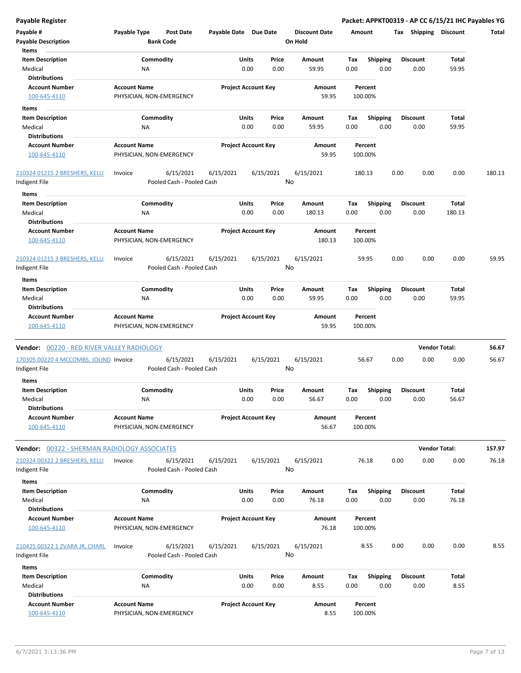| Payable #                                           | Payable Type        | Post Date                 | Payable Date Due Date |                            |       | <b>Discount Date</b> | Amount      |                  | Tax  | <b>Shipping</b>      | <b>Discount</b> | Total  |
|-----------------------------------------------------|---------------------|---------------------------|-----------------------|----------------------------|-------|----------------------|-------------|------------------|------|----------------------|-----------------|--------|
| <b>Payable Description</b><br>Items                 |                     | <b>Bank Code</b>          |                       |                            |       | On Hold              |             |                  |      |                      |                 |        |
| <b>Item Description</b>                             |                     | Commodity                 |                       | Units                      | Price | Amount               | Tax         | <b>Shipping</b>  |      | <b>Discount</b>      | Total           |        |
| Medical                                             | <b>NA</b>           |                           |                       | 0.00                       | 0.00  | 59.95                | 0.00        | 0.00             |      | 0.00                 | 59.95           |        |
| <b>Distributions</b>                                |                     |                           |                       |                            |       |                      |             |                  |      |                      |                 |        |
| <b>Account Number</b>                               | <b>Account Name</b> |                           |                       | <b>Project Account Key</b> |       | Amount               |             | Percent          |      |                      |                 |        |
| 100-645-4110                                        |                     | PHYSICIAN, NON-EMERGENCY  |                       |                            |       | 59.95                | 100.00%     |                  |      |                      |                 |        |
| Items                                               |                     |                           |                       |                            |       |                      |             |                  |      |                      |                 |        |
| <b>Item Description</b>                             |                     | Commodity                 |                       | Units                      | Price | Amount               | Tax         | <b>Shipping</b>  |      | <b>Discount</b>      | Total           |        |
| Medical                                             | ΝA                  |                           |                       | 0.00                       | 0.00  | 59.95                | 0.00        | 0.00             |      | 0.00                 | 59.95           |        |
| <b>Distributions</b>                                |                     |                           |                       |                            |       |                      |             |                  |      |                      |                 |        |
| <b>Account Number</b>                               | <b>Account Name</b> |                           |                       | <b>Project Account Key</b> |       | Amount               |             | Percent          |      |                      |                 |        |
| 100-645-4110                                        |                     | PHYSICIAN, NON-EMERGENCY  |                       |                            |       | 59.95                | 100.00%     |                  |      |                      |                 |        |
|                                                     |                     |                           |                       |                            |       |                      |             |                  |      |                      |                 |        |
| 210324 01215 2 BRESHERS, KELLI                      | Invoice             | 6/15/2021                 | 6/15/2021             | 6/15/2021                  |       | 6/15/2021            | 180.13      |                  | 0.00 | 0.00                 | 0.00            | 180.13 |
| Indigent File                                       |                     | Pooled Cash - Pooled Cash |                       |                            |       | No                   |             |                  |      |                      |                 |        |
| Items                                               |                     |                           |                       |                            |       |                      |             |                  |      |                      |                 |        |
| <b>Item Description</b>                             |                     | Commodity                 |                       | Units                      | Price | Amount               | Tax         | <b>Shipping</b>  |      | <b>Discount</b>      | Total           |        |
| Medical                                             | <b>NA</b>           |                           |                       | 0.00                       | 0.00  | 180.13               | 0.00        | 0.00             |      | 0.00                 | 180.13          |        |
| <b>Distributions</b>                                |                     |                           |                       |                            |       |                      |             |                  |      |                      |                 |        |
| <b>Account Number</b>                               | <b>Account Name</b> |                           |                       | <b>Project Account Key</b> |       | Amount               |             | Percent          |      |                      |                 |        |
| 100-645-4110                                        |                     | PHYSICIAN, NON-EMERGENCY  |                       |                            |       | 180.13               | 100.00%     |                  |      |                      |                 |        |
| 210324 01215 3 BRESHERS, KELLI                      | Invoice             | 6/15/2021                 | 6/15/2021             | 6/15/2021                  |       | 6/15/2021            |             | 59.95            | 0.00 | 0.00                 | 0.00            | 59.95  |
| Indigent File                                       |                     | Pooled Cash - Pooled Cash |                       |                            |       | No                   |             |                  |      |                      |                 |        |
|                                                     |                     |                           |                       |                            |       |                      |             |                  |      |                      |                 |        |
| Items                                               |                     | Commodity                 |                       | Units                      | Price | Amount               |             |                  |      | <b>Discount</b>      | Total           |        |
| <b>Item Description</b><br>Medical                  | <b>NA</b>           |                           |                       | 0.00                       | 0.00  | 59.95                | Тах<br>0.00 | Shipping<br>0.00 |      | 0.00                 | 59.95           |        |
| <b>Distributions</b>                                |                     |                           |                       |                            |       |                      |             |                  |      |                      |                 |        |
| <b>Account Number</b>                               | <b>Account Name</b> |                           |                       | <b>Project Account Key</b> |       | Amount               |             | Percent          |      |                      |                 |        |
| 100-645-4110                                        |                     | PHYSICIAN, NON-EMERGENCY  |                       |                            |       | 59.95                |             | 100.00%          |      |                      |                 |        |
|                                                     |                     |                           |                       |                            |       |                      |             |                  |      |                      |                 |        |
| Vendor: 00220 - RED RIVER VALLEY RADIOLOGY          |                     |                           |                       |                            |       |                      |             |                  |      | <b>Vendor Total:</b> |                 | 56.67  |
| 170305 00220 4 MCCOMBS, JOLIND Invoice              |                     | 6/15/2021                 | 6/15/2021             | 6/15/2021                  |       | 6/15/2021            |             | 56.67            | 0.00 | 0.00                 | 0.00            | 56.67  |
| Indigent File                                       |                     | Pooled Cash - Pooled Cash |                       |                            |       | No                   |             |                  |      |                      |                 |        |
| <b>Items</b>                                        |                     |                           |                       |                            |       |                      |             |                  |      |                      |                 |        |
| <b>Item Description</b>                             |                     | Commodity                 |                       | Units                      | Price | Amount               | Tax         | <b>Shipping</b>  |      | <b>Discount</b>      | Total           |        |
| Medical                                             | ΝA                  |                           |                       | 0.00                       | 0.00  | 56.67                | 0.00        | 0.00             |      | 0.00                 | 56.67           |        |
| <b>Distributions</b>                                |                     |                           |                       |                            |       |                      |             |                  |      |                      |                 |        |
| <b>Account Number</b>                               | <b>Account Name</b> |                           |                       | <b>Project Account Key</b> |       | Amount               |             | Percent          |      |                      |                 |        |
| 100-645-4110                                        |                     | PHYSICIAN, NON-EMERGENCY  |                       |                            |       | 56.67                |             | 100.00%          |      |                      |                 |        |
|                                                     |                     |                           |                       |                            |       |                      |             |                  |      |                      |                 |        |
| <b>Vendor:</b> 00322 - SHERMAN RADIOLOGY ASSOCIATES |                     |                           |                       |                            |       |                      |             |                  |      | <b>Vendor Total:</b> |                 | 157.97 |
| 210324 00322 2 BRESHERS, KELLI                      | Invoice             | 6/15/2021                 | 6/15/2021             | 6/15/2021                  |       | 6/15/2021            |             | 76.18            | 0.00 | 0.00                 | 0.00            | 76.18  |
| Indigent File                                       |                     | Pooled Cash - Pooled Cash |                       |                            |       | No                   |             |                  |      |                      |                 |        |
| Items                                               |                     |                           |                       |                            |       |                      |             |                  |      |                      |                 |        |
| <b>Item Description</b>                             |                     | Commodity                 |                       | <b>Units</b>               | Price | Amount               | Tax         | <b>Shipping</b>  |      | <b>Discount</b>      | Total           |        |
| Medical                                             | NA                  |                           |                       | 0.00                       | 0.00  | 76.18                | 0.00        | 0.00             |      | 0.00                 | 76.18           |        |
| <b>Distributions</b>                                |                     |                           |                       |                            |       |                      |             |                  |      |                      |                 |        |
| <b>Account Number</b>                               | <b>Account Name</b> |                           |                       | <b>Project Account Key</b> |       | Amount               |             | Percent          |      |                      |                 |        |
| 100-645-4110                                        |                     | PHYSICIAN, NON-EMERGENCY  |                       |                            |       | 76.18                |             | 100.00%          |      |                      |                 |        |
|                                                     |                     |                           |                       |                            |       |                      |             |                  |      |                      |                 |        |
| 210425 00322 1 ZVARA JR, CHARL                      | Invoice             | 6/15/2021                 | 6/15/2021             | 6/15/2021                  |       | 6/15/2021            |             | 8.55             | 0.00 | 0.00                 | 0.00            | 8.55   |
| Indigent File                                       |                     | Pooled Cash - Pooled Cash |                       |                            |       | No                   |             |                  |      |                      |                 |        |
| Items                                               |                     |                           |                       |                            |       |                      |             |                  |      |                      |                 |        |
| <b>Item Description</b>                             |                     | Commodity                 |                       | Units                      | Price | Amount               | Tax         | <b>Shipping</b>  |      | <b>Discount</b>      | Total           |        |
| Medical                                             | ΝA                  |                           |                       | 0.00                       | 0.00  | 8.55                 | 0.00        | 0.00             |      | 0.00                 | 8.55            |        |
| <b>Distributions</b>                                |                     |                           |                       |                            |       |                      |             |                  |      |                      |                 |        |
| <b>Account Number</b>                               | <b>Account Name</b> |                           |                       | <b>Project Account Key</b> |       | Amount               |             | Percent          |      |                      |                 |        |

100-645-4110 PHYSICIAN, NON-EMERGENCY 8.55 100.00%

**Payable Register Packet: APPKT00319 - AP CC 6/15/21 IHC Payables YG**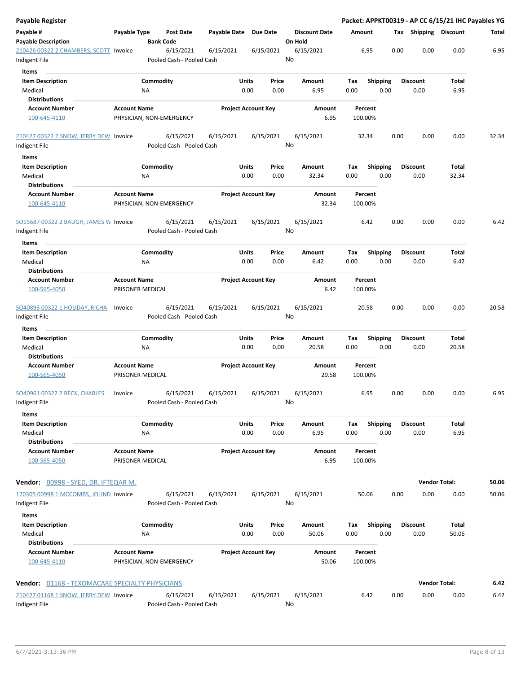| <b>Payable Register</b>                                 |                                         |                                        |              |                            |               |                                 |                    |                         |      |                         | Packet: APPKT00319 - AP CC 6/15/21 IHC Payables YG |       |
|---------------------------------------------------------|-----------------------------------------|----------------------------------------|--------------|----------------------------|---------------|---------------------------------|--------------------|-------------------------|------|-------------------------|----------------------------------------------------|-------|
| Payable #<br><b>Payable Description</b>                 | Payable Type                            | <b>Post Date</b><br><b>Bank Code</b>   | Payable Date | <b>Due Date</b>            |               | <b>Discount Date</b><br>On Hold | Amount             |                         |      | Tax Shipping Discount   |                                                    | Total |
| 210426 00322 2 CHAMBERS, SCOTT<br>Indigent File         | Invoice                                 | 6/15/2021<br>Pooled Cash - Pooled Cash | 6/15/2021    | 6/15/2021                  | No            | 6/15/2021                       | 6.95               |                         | 0.00 | 0.00                    | 0.00                                               | 6.95  |
|                                                         |                                         |                                        |              |                            |               |                                 |                    |                         |      |                         |                                                    |       |
| Items<br><b>Item Description</b><br>Medical             |                                         | Commodity<br>ΝA                        |              | Units<br>0.00              | Price<br>0.00 | Amount<br>6.95                  | Tax<br>0.00        | <b>Shipping</b><br>0.00 |      | Discount<br>0.00        | Total<br>6.95                                      |       |
| <b>Distributions</b><br><b>Account Number</b>           |                                         |                                        |              |                            |               |                                 |                    |                         |      |                         |                                                    |       |
| 100-645-4110                                            | <b>Account Name</b>                     | PHYSICIAN, NON-EMERGENCY               |              | <b>Project Account Key</b> |               | Amount<br>6.95                  | Percent<br>100.00% |                         |      |                         |                                                    |       |
| 210427 00322 2 SNOW, JERRY DEW Invoice<br>Indigent File |                                         | 6/15/2021<br>Pooled Cash - Pooled Cash | 6/15/2021    | 6/15/2021                  | No            | 6/15/2021                       | 32.34              |                         | 0.00 | 0.00                    | 0.00                                               | 32.34 |
| Items                                                   |                                         |                                        |              |                            |               |                                 |                    |                         |      |                         |                                                    |       |
| <b>Item Description</b><br>Medical                      |                                         | Commodity<br>ΝA                        |              | Units<br>0.00              | Price<br>0.00 | Amount<br>32.34                 | Tax<br>0.00        | <b>Shipping</b><br>0.00 |      | <b>Discount</b><br>0.00 | Total<br>32.34                                     |       |
| <b>Distributions</b>                                    |                                         |                                        |              |                            |               |                                 |                    |                         |      |                         |                                                    |       |
| <b>Account Number</b><br>100-645-4110                   | <b>Account Name</b>                     | PHYSICIAN, NON-EMERGENCY               |              | <b>Project Account Key</b> |               | Amount<br>32.34                 | Percent<br>100.00% |                         |      |                         |                                                    |       |
| SO15687 00322 2 BAUGH, JAMES W Invoice<br>Indigent File |                                         | 6/15/2021<br>Pooled Cash - Pooled Cash | 6/15/2021    | 6/15/2021                  | No            | 6/15/2021                       | 6.42               |                         | 0.00 | 0.00                    | 0.00                                               | 6.42  |
| Items                                                   |                                         |                                        |              |                            |               |                                 |                    |                         |      |                         |                                                    |       |
| <b>Item Description</b><br>Medical                      |                                         | Commodity<br><b>NA</b>                 |              | Units<br>0.00              | Price<br>0.00 | Amount<br>6.42                  | Tax<br>0.00        | <b>Shipping</b><br>0.00 |      | Discount<br>0.00        | Total<br>6.42                                      |       |
| <b>Distributions</b>                                    |                                         |                                        |              |                            |               |                                 |                    |                         |      |                         |                                                    |       |
| <b>Account Number</b><br>100-565-4050                   | <b>Account Name</b><br>PRISONER MEDICAL |                                        |              | <b>Project Account Key</b> |               | Amount<br>6.42                  | Percent<br>100.00% |                         |      |                         |                                                    |       |
| <b>SO40893 00322 1 HOLIDAY, RICHA</b><br>Indigent File  | Invoice                                 | 6/15/2021<br>Pooled Cash - Pooled Cash | 6/15/2021    | 6/15/2021                  | No            | 6/15/2021                       | 20.58              |                         | 0.00 | 0.00                    | 0.00                                               | 20.58 |
| Items                                                   |                                         |                                        |              |                            |               |                                 |                    |                         |      |                         |                                                    |       |
| <b>Item Description</b>                                 |                                         | Commodity                              |              | Units                      | Price         | Amount                          | Tax                | <b>Shipping</b>         |      | <b>Discount</b>         | Total                                              |       |
| Medical<br><b>Distributions</b>                         |                                         | ΝA                                     |              | 0.00                       | 0.00          | 20.58                           | 0.00               | 0.00                    |      | 0.00                    | 20.58                                              |       |
| <b>Account Number</b><br>100-565-4050                   | <b>Account Name</b><br>PRISONER MEDICAL |                                        |              | <b>Project Account Key</b> |               | Amount<br>20.58                 | Percent<br>100.00% |                         |      |                         |                                                    |       |
| <b>SO40961 00322 2 BECK, CHARLES</b>                    | Invoice                                 | 6/15/2021                              | 6/15/2021    | 6/15/2021                  |               | 6/15/2021                       | 6.95               |                         | 0.00 | 0.00                    | 0.00                                               | 6.95  |
| Indigent File<br>Items                                  |                                         | Pooled Cash - Pooled Cash              |              |                            | No            |                                 |                    |                         |      |                         |                                                    |       |
| <b>Item Description</b>                                 |                                         | Commodity                              |              | Units                      | Price         | Amount                          | Tax                | <b>Shipping</b>         |      | <b>Discount</b>         | Total                                              |       |
| Medical<br><b>Distributions</b>                         |                                         | <b>NA</b>                              |              | 0.00                       | 0.00          | 6.95                            | 0.00               | 0.00                    |      | 0.00                    | 6.95                                               |       |
| <b>Account Number</b><br>100-565-4050                   | <b>Account Name</b><br>PRISONER MEDICAL |                                        |              | <b>Project Account Key</b> |               | Amount<br>6.95                  | Percent<br>100.00% |                         |      |                         |                                                    |       |
| Vendor: 00998 - SYED, DR. IFTEQAR M.                    |                                         |                                        |              |                            |               |                                 |                    |                         |      |                         | <b>Vendor Total:</b>                               | 50.06 |
| 170305 00998 1 MCCOMBS, JOLIND Invoice<br>Indigent File |                                         | 6/15/2021<br>Pooled Cash - Pooled Cash | 6/15/2021    | 6/15/2021                  | No            | 6/15/2021                       | 50.06              |                         | 0.00 | 0.00                    | 0.00                                               | 50.06 |
|                                                         |                                         |                                        |              |                            |               |                                 |                    |                         |      |                         |                                                    |       |
| Items<br><b>Item Description</b><br>Medical             |                                         | Commodity<br><b>NA</b>                 |              | Units<br>0.00              | Price<br>0.00 | Amount<br>50.06                 | Tax<br>0.00        | <b>Shipping</b><br>0.00 |      | <b>Discount</b><br>0.00 | Total<br>50.06                                     |       |
| <b>Distributions</b>                                    |                                         |                                        |              |                            |               |                                 |                    |                         |      |                         |                                                    |       |
| <b>Account Number</b><br>100-645-4110                   | <b>Account Name</b>                     | PHYSICIAN, NON-EMERGENCY               |              | <b>Project Account Key</b> |               | Amount<br>50.06                 | Percent<br>100.00% |                         |      |                         |                                                    |       |
| <b>Vendor:</b> 01168 - TEXOMACARE SPECIALTY PHYSICIANS  |                                         |                                        |              |                            |               |                                 |                    |                         |      |                         | <b>Vendor Total:</b>                               | 6.42  |
| 210427 01168 1 SNOW, JERRY DEW Invoice                  |                                         | 6/15/2021                              | 6/15/2021    | 6/15/2021                  |               | 6/15/2021                       | 6.42               |                         | 0.00 | 0.00                    | 0.00                                               | 6.42  |
| Indigent File                                           |                                         | Pooled Cash - Pooled Cash              |              |                            | No            |                                 |                    |                         |      |                         |                                                    |       |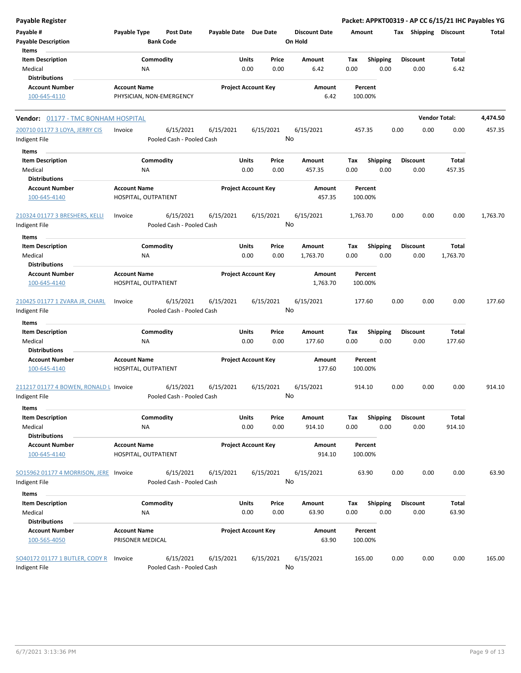| <b>Payable Register</b>                |                                             |                           |                       |                            |           |                      |          |                    |      |                       |          | Packet: APPKT00319 - AP CC 6/15/21 IHC Payables YG |
|----------------------------------------|---------------------------------------------|---------------------------|-----------------------|----------------------------|-----------|----------------------|----------|--------------------|------|-----------------------|----------|----------------------------------------------------|
| Payable #                              | Payable Type                                | <b>Post Date</b>          | Payable Date Due Date |                            |           | <b>Discount Date</b> | Amount   |                    |      | Tax Shipping Discount |          | Total                                              |
| <b>Payable Description</b>             | <b>Bank Code</b>                            |                           |                       |                            |           | On Hold              |          |                    |      |                       |          |                                                    |
| Items                                  |                                             |                           |                       |                            |           |                      |          |                    |      |                       |          |                                                    |
| <b>Item Description</b>                | Commodity                                   |                           |                       | Units                      | Price     | Amount               | Tax      | <b>Shipping</b>    |      | <b>Discount</b>       | Total    |                                                    |
| Medical                                | <b>NA</b>                                   |                           |                       | 0.00                       | 0.00      | 6.42                 | 0.00     | 0.00               |      | 0.00                  | 6.42     |                                                    |
| <b>Distributions</b>                   |                                             |                           |                       |                            |           |                      |          |                    |      |                       |          |                                                    |
| <b>Account Number</b>                  | <b>Account Name</b>                         |                           |                       | <b>Project Account Key</b> |           | Amount               |          | Percent            |      |                       |          |                                                    |
| 100-645-4110                           | PHYSICIAN, NON-EMERGENCY                    |                           |                       |                            |           | 6.42                 |          | 100.00%            |      |                       |          |                                                    |
| Vendor: 01177 - TMC BONHAM HOSPITAL    |                                             |                           |                       |                            |           |                      |          |                    |      | <b>Vendor Total:</b>  |          | 4,474.50                                           |
| 200710 01177 3 LOYA, JERRY CIS         | Invoice                                     | 6/15/2021                 | 6/15/2021             |                            | 6/15/2021 | 6/15/2021            | 457.35   |                    | 0.00 | 0.00                  | 0.00     | 457.35                                             |
| Indigent File                          |                                             | Pooled Cash - Pooled Cash |                       |                            |           | No                   |          |                    |      |                       |          |                                                    |
| Items                                  |                                             |                           |                       |                            |           |                      |          |                    |      |                       |          |                                                    |
| <b>Item Description</b>                | Commodity                                   |                           |                       | Units                      | Price     | Amount               | Tax      | <b>Shipping</b>    |      | <b>Discount</b>       | Total    |                                                    |
| Medical                                | <b>NA</b>                                   |                           |                       | 0.00                       | 0.00      | 457.35               | 0.00     | 0.00               |      | 0.00                  | 457.35   |                                                    |
| <b>Distributions</b>                   |                                             |                           |                       |                            |           |                      |          |                    |      |                       |          |                                                    |
| <b>Account Number</b>                  | <b>Account Name</b>                         |                           |                       | <b>Project Account Key</b> |           | Amount               |          | Percent            |      |                       |          |                                                    |
| 100-645-4140                           | HOSPITAL, OUTPATIENT                        |                           |                       |                            |           | 457.35               |          | 100.00%            |      |                       |          |                                                    |
| 210324 01177 3 BRESHERS, KELLI         | Invoice                                     | 6/15/2021                 | 6/15/2021             |                            | 6/15/2021 | 6/15/2021            | 1,763.70 |                    | 0.00 | 0.00                  | 0.00     | 1,763.70                                           |
| Indigent File                          |                                             | Pooled Cash - Pooled Cash |                       |                            |           | No                   |          |                    |      |                       |          |                                                    |
| Items                                  |                                             |                           |                       |                            |           |                      |          |                    |      |                       |          |                                                    |
| <b>Item Description</b>                | Commodity                                   |                           |                       | Units                      | Price     | Amount               | Tax      | <b>Shipping</b>    |      | <b>Discount</b>       | Total    |                                                    |
| Medical                                | ΝA                                          |                           |                       | 0.00                       | 0.00      | 1,763.70             | 0.00     | 0.00               |      | 0.00                  | 1,763.70 |                                                    |
| <b>Distributions</b>                   |                                             |                           |                       |                            |           |                      |          |                    |      |                       |          |                                                    |
| <b>Account Number</b>                  | <b>Account Name</b>                         |                           |                       | <b>Project Account Key</b> |           | Amount               |          | Percent            |      |                       |          |                                                    |
| 100-645-4140                           | HOSPITAL, OUTPATIENT                        |                           |                       |                            |           | 1,763.70             |          | 100.00%            |      |                       |          |                                                    |
| 210425 01177 1 ZVARA JR, CHARL         | Invoice                                     | 6/15/2021                 | 6/15/2021             |                            | 6/15/2021 | 6/15/2021            | 177.60   |                    | 0.00 | 0.00                  | 0.00     | 177.60                                             |
| Indigent File                          |                                             | Pooled Cash - Pooled Cash |                       |                            |           | No                   |          |                    |      |                       |          |                                                    |
| Items                                  |                                             |                           |                       |                            |           |                      |          |                    |      |                       |          |                                                    |
| <b>Item Description</b>                | Commodity                                   |                           |                       | Units                      | Price     | Amount               | Tax      | Shipping           |      | <b>Discount</b>       | Total    |                                                    |
| Medical                                | <b>NA</b>                                   |                           |                       | 0.00                       | 0.00      | 177.60               | 0.00     | 0.00               |      | 0.00                  | 177.60   |                                                    |
| <b>Distributions</b>                   |                                             |                           |                       |                            |           |                      |          |                    |      |                       |          |                                                    |
| <b>Account Number</b><br>100-645-4140  | <b>Account Name</b><br>HOSPITAL, OUTPATIENT |                           |                       | <b>Project Account Key</b> |           | Amount<br>177.60     |          | Percent<br>100.00% |      |                       |          |                                                    |
| 211217 01177 4 BOWEN, RONALD L Invoice |                                             | 6/15/2021                 | 6/15/2021             |                            | 6/15/2021 | 6/15/2021            | 914.10   |                    | 0.00 | 0.00                  | 0.00     | 914.10                                             |
| Indigent File                          |                                             | Pooled Cash - Pooled Cash |                       |                            |           | No                   |          |                    |      |                       |          |                                                    |
| Items                                  |                                             |                           |                       |                            |           |                      |          |                    |      |                       |          |                                                    |
| <b>Item Description</b>                | Commodity                                   |                           |                       | Units                      | Price     | Amount               | Tax      | <b>Shipping</b>    |      | <b>Discount</b>       | Total    |                                                    |
| Medical                                | NA                                          |                           |                       | 0.00                       | 0.00      | 914.10               | 0.00     | 0.00               |      | 0.00                  | 914.10   |                                                    |
| <b>Distributions</b>                   |                                             |                           |                       |                            |           |                      |          |                    |      |                       |          |                                                    |
| <b>Account Number</b><br>100-645-4140  | <b>Account Name</b><br>HOSPITAL, OUTPATIENT |                           |                       | <b>Project Account Key</b> |           | Amount<br>914.10     |          | Percent<br>100.00% |      |                       |          |                                                    |
| SO15962 01177 4 MORRISON, JERE Invoice |                                             | 6/15/2021                 | 6/15/2021             |                            | 6/15/2021 | 6/15/2021            |          | 63.90              | 0.00 | 0.00                  | 0.00     | 63.90                                              |
| Indigent File                          |                                             | Pooled Cash - Pooled Cash |                       |                            |           | No                   |          |                    |      |                       |          |                                                    |
| Items                                  |                                             |                           |                       |                            |           |                      |          |                    |      |                       |          |                                                    |
| <b>Item Description</b>                | Commodity                                   |                           |                       | Units                      | Price     | Amount               | Tax      | <b>Shipping</b>    |      | <b>Discount</b>       | Total    |                                                    |
| Medical                                | NA                                          |                           |                       | 0.00                       | 0.00      | 63.90                | 0.00     | 0.00               |      | 0.00                  | 63.90    |                                                    |
| <b>Distributions</b>                   |                                             |                           |                       |                            |           |                      |          |                    |      |                       |          |                                                    |
| <b>Account Number</b>                  | <b>Account Name</b>                         |                           |                       | <b>Project Account Key</b> |           | Amount               |          | Percent            |      |                       |          |                                                    |
| 100-565-4050                           | PRISONER MEDICAL                            |                           |                       |                            |           | 63.90                |          | 100.00%            |      |                       |          |                                                    |
| SO40172 01177 1 BUTLER, CODY R         | Invoice                                     | 6/15/2021                 | 6/15/2021             |                            | 6/15/2021 | 6/15/2021            | 165.00   |                    | 0.00 | 0.00                  | 0.00     | 165.00                                             |
| Indigent File                          |                                             | Pooled Cash - Pooled Cash |                       |                            |           | No                   |          |                    |      |                       |          |                                                    |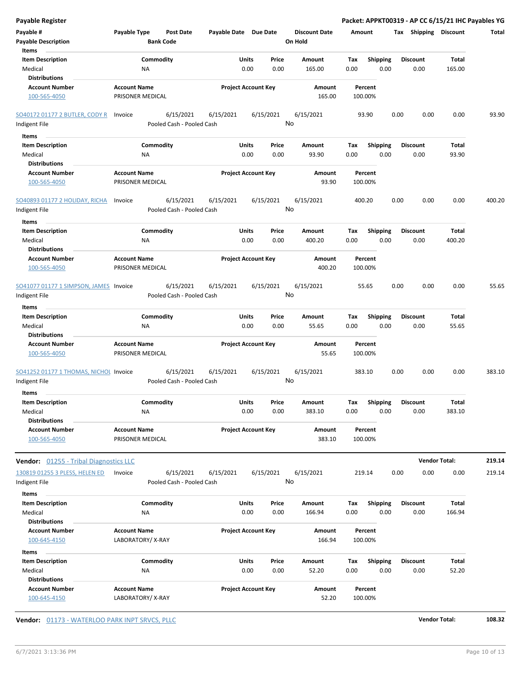| <b>Payable Register</b>                                             |                     |                        |                                        |                       |                            |               |                                 |             |                         |      |                         | Packet: APPKT00319 - AP CC 6/15/21 IHC Payables YG |        |
|---------------------------------------------------------------------|---------------------|------------------------|----------------------------------------|-----------------------|----------------------------|---------------|---------------------------------|-------------|-------------------------|------|-------------------------|----------------------------------------------------|--------|
| Payable #<br><b>Payable Description</b>                             | Payable Type        | <b>Bank Code</b>       | <b>Post Date</b>                       | Payable Date Due Date |                            |               | <b>Discount Date</b><br>On Hold | Amount      |                         |      | Tax Shipping Discount   |                                                    | Total  |
| Items<br><b>Item Description</b><br>Medical<br><b>Distributions</b> |                     | Commodity<br><b>NA</b> |                                        |                       | Units<br>0.00              | Price<br>0.00 | Amount<br>165.00                | Tax<br>0.00 | <b>Shipping</b><br>0.00 |      | <b>Discount</b><br>0.00 | <b>Total</b><br>165.00                             |        |
| <b>Account Number</b>                                               | <b>Account Name</b> |                        |                                        |                       | <b>Project Account Key</b> |               | Amount                          |             | Percent                 |      |                         |                                                    |        |
| 100-565-4050                                                        |                     | PRISONER MEDICAL       |                                        |                       |                            |               | 165.00                          | 100.00%     |                         |      |                         |                                                    |        |
| <b>SO40172 01177 2 BUTLER, CODY R</b>                               | Invoice             |                        | 6/15/2021                              | 6/15/2021             |                            | 6/15/2021     | 6/15/2021                       |             | 93.90                   | 0.00 | 0.00                    | 0.00                                               | 93.90  |
| Indigent File                                                       |                     |                        | Pooled Cash - Pooled Cash              |                       |                            |               | No                              |             |                         |      |                         |                                                    |        |
| Items                                                               |                     |                        |                                        |                       |                            |               |                                 |             |                         |      |                         |                                                    |        |
| <b>Item Description</b>                                             |                     | Commodity              |                                        |                       | Units                      | Price         | Amount                          | Tax         | <b>Shipping</b>         |      | <b>Discount</b>         | Total                                              |        |
| Medical<br><b>Distributions</b>                                     |                     | <b>NA</b>              |                                        |                       | 0.00                       | 0.00          | 93.90                           | 0.00        | 0.00                    |      | 0.00                    | 93.90                                              |        |
| <b>Account Number</b>                                               | <b>Account Name</b> |                        |                                        |                       | <b>Project Account Key</b> |               | Amount                          |             | Percent                 |      |                         |                                                    |        |
| 100-565-4050                                                        |                     | PRISONER MEDICAL       |                                        |                       |                            |               | 93.90                           | 100.00%     |                         |      |                         |                                                    |        |
| <b>SO40893 01177 2 HOLIDAY, RICHA</b><br>Indigent File              | Invoice             |                        | 6/15/2021<br>Pooled Cash - Pooled Cash | 6/15/2021             |                            | 6/15/2021     | 6/15/2021<br>No                 | 400.20      |                         | 0.00 | 0.00                    | 0.00                                               | 400.20 |
| Items                                                               |                     |                        |                                        |                       |                            |               |                                 |             |                         |      |                         |                                                    |        |
| <b>Item Description</b><br>Medical                                  |                     | Commodity              |                                        |                       | Units                      | Price         | Amount                          | Tax         | <b>Shipping</b><br>0.00 |      | <b>Discount</b>         | Total                                              |        |
| <b>Distributions</b>                                                |                     | <b>NA</b>              |                                        |                       | 0.00                       | 0.00          | 400.20                          | 0.00        |                         |      | 0.00                    | 400.20                                             |        |
| <b>Account Number</b>                                               | <b>Account Name</b> |                        |                                        |                       | <b>Project Account Key</b> |               | Amount                          |             | Percent                 |      |                         |                                                    |        |
| 100-565-4050                                                        |                     | PRISONER MEDICAL       |                                        |                       |                            |               | 400.20                          | 100.00%     |                         |      |                         |                                                    |        |
| SO41077 01177 1 SIMPSON, JAMES Invoice                              |                     |                        | 6/15/2021                              | 6/15/2021             |                            | 6/15/2021     | 6/15/2021                       |             | 55.65                   | 0.00 | 0.00                    | 0.00                                               | 55.65  |
| Indigent File                                                       |                     |                        | Pooled Cash - Pooled Cash              |                       |                            |               | No                              |             |                         |      |                         |                                                    |        |
| Items                                                               |                     |                        |                                        |                       |                            |               |                                 |             |                         |      |                         |                                                    |        |
| <b>Item Description</b>                                             |                     | Commodity              |                                        |                       | Units                      | Price         | Amount                          | Tax         | <b>Shipping</b>         |      | <b>Discount</b>         | Total                                              |        |
| Medical                                                             |                     | <b>NA</b>              |                                        |                       | 0.00                       | 0.00          | 55.65                           | 0.00        | 0.00                    |      | 0.00                    | 55.65                                              |        |
| <b>Distributions</b>                                                |                     |                        |                                        |                       |                            |               |                                 |             |                         |      |                         |                                                    |        |
| <b>Account Number</b>                                               | <b>Account Name</b> |                        |                                        |                       | <b>Project Account Key</b> |               | Amount                          |             | Percent                 |      |                         |                                                    |        |
| 100-565-4050                                                        |                     | PRISONER MEDICAL       |                                        |                       |                            |               | 55.65                           | 100.00%     |                         |      |                         |                                                    |        |
| SO41252 01177 1 THOMAS, NICHOL Invoice<br>Indigent File             |                     |                        | 6/15/2021<br>Pooled Cash - Pooled Cash | 6/15/2021             |                            | 6/15/2021     | 6/15/2021<br>No                 | 383.10      |                         | 0.00 | 0.00                    | 0.00                                               | 383.10 |
| Items                                                               |                     |                        |                                        |                       |                            |               |                                 |             |                         |      |                         |                                                    |        |
| <b>Item Description</b><br>Medical                                  |                     | Commodity<br><b>NA</b> |                                        |                       | Units<br>0.00              | Price<br>0.00 | Amount<br>383.10                | Tax<br>0.00 | Shipping<br>0.00        |      | <b>Discount</b><br>0.00 | Total<br>383.10                                    |        |
| <b>Distributions</b><br><b>Account Number</b>                       | <b>Account Name</b> |                        |                                        |                       | <b>Project Account Key</b> |               | Amount                          |             | Percent                 |      |                         |                                                    |        |
| 100-565-4050                                                        |                     | PRISONER MEDICAL       |                                        |                       |                            |               | 383.10                          | 100.00%     |                         |      |                         |                                                    |        |
| Vendor: 01255 - Tribal Diagnostics LLC                              |                     |                        |                                        |                       |                            |               |                                 |             |                         |      |                         | <b>Vendor Total:</b>                               | 219.14 |
| 130819 01255 3 PLESS, HELEN ED                                      | Invoice             |                        | 6/15/2021                              | 6/15/2021             |                            | 6/15/2021     | 6/15/2021                       | 219.14      |                         | 0.00 | 0.00                    | 0.00                                               | 219.14 |
| Indigent File                                                       |                     |                        | Pooled Cash - Pooled Cash              |                       |                            |               | No                              |             |                         |      |                         |                                                    |        |
| Items                                                               |                     |                        |                                        |                       |                            |               |                                 |             |                         |      |                         |                                                    |        |
| <b>Item Description</b>                                             |                     | Commodity              |                                        |                       | Units                      | Price         | Amount                          | Tax         | Shipping                |      | <b>Discount</b>         | Total                                              |        |
| Medical                                                             |                     | NA                     |                                        |                       | 0.00                       | 0.00          | 166.94                          | 0.00        | 0.00                    |      | 0.00                    | 166.94                                             |        |
| <b>Distributions</b>                                                |                     |                        |                                        |                       |                            |               |                                 |             |                         |      |                         |                                                    |        |
| <b>Account Number</b>                                               | <b>Account Name</b> |                        |                                        |                       | <b>Project Account Key</b> |               | Amount                          |             | Percent                 |      |                         |                                                    |        |
| 100-645-4150                                                        |                     | LABORATORY/X-RAY       |                                        |                       |                            |               | 166.94                          | 100.00%     |                         |      |                         |                                                    |        |
| Items                                                               |                     |                        |                                        |                       |                            |               |                                 |             |                         |      |                         |                                                    |        |
| <b>Item Description</b>                                             |                     | Commodity              |                                        |                       | Units                      | Price         | Amount                          | Tax         | <b>Shipping</b>         |      | <b>Discount</b>         | Total                                              |        |
| Medical                                                             |                     | NA                     |                                        |                       | 0.00                       | 0.00          | 52.20                           | 0.00        | 0.00                    |      | 0.00                    | 52.20                                              |        |
| <b>Distributions</b>                                                |                     |                        |                                        |                       |                            |               |                                 |             |                         |      |                         |                                                    |        |
| <b>Account Number</b><br>100-645-4150                               | <b>Account Name</b> | LABORATORY/X-RAY       |                                        |                       | <b>Project Account Key</b> |               | Amount<br>52.20                 | 100.00%     | Percent                 |      |                         |                                                    |        |

**Vendor:** 01173 - WATERLOO PARK INPT SRVCS, PLLC **Vendor Total: 108.32**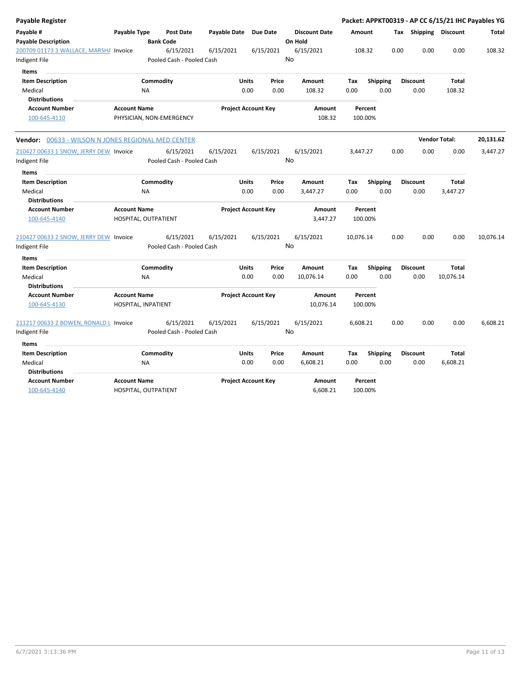| <b>Payable Register</b>                                 |                      |           |                                        |                     |              |                            |    |                                 |           |                    |                 |      |                       |                      | Packet: APPKT00319 - AP CC 6/15/21 IHC Payables YG |
|---------------------------------------------------------|----------------------|-----------|----------------------------------------|---------------------|--------------|----------------------------|----|---------------------------------|-----------|--------------------|-----------------|------|-----------------------|----------------------|----------------------------------------------------|
| Payable #<br><b>Payable Description</b>                 | Payable Type         |           | <b>Post Date</b><br><b>Bank Code</b>   | <b>Payable Date</b> |              | <b>Due Date</b>            |    | <b>Discount Date</b><br>On Hold | Amount    |                    |                 |      | Tax Shipping Discount |                      | <b>Total</b>                                       |
| 200709 01173 3 WALLACE, MARSHA Invoice<br>Indigent File |                      |           | 6/15/2021<br>Pooled Cash - Pooled Cash | 6/15/2021           |              | 6/15/2021                  | No | 6/15/2021                       |           | 108.32             |                 | 0.00 | 0.00                  | 0.00                 | 108.32                                             |
| <b>Items</b>                                            |                      |           |                                        |                     |              |                            |    |                                 |           |                    |                 |      |                       |                      |                                                    |
| <b>Item Description</b>                                 |                      | Commodity |                                        |                     | <b>Units</b> | Price                      |    | <b>Amount</b>                   | Tax       |                    | Shipping        |      | <b>Discount</b>       | <b>Total</b>         |                                                    |
| Medical                                                 |                      | <b>NA</b> |                                        |                     | 0.00         | 0.00                       |    | 108.32                          | 0.00      |                    | 0.00            |      | 0.00                  | 108.32               |                                                    |
| <b>Distributions</b>                                    |                      |           |                                        |                     |              |                            |    |                                 |           |                    |                 |      |                       |                      |                                                    |
| <b>Account Number</b><br>100-645-4110                   | <b>Account Name</b>  |           | PHYSICIAN, NON-EMERGENCY               |                     |              | <b>Project Account Key</b> |    | <b>Amount</b><br>108.32         |           | Percent<br>100.00% |                 |      |                       |                      |                                                    |
|                                                         |                      |           |                                        |                     |              |                            |    |                                 |           |                    |                 |      |                       |                      |                                                    |
| Vendor: 00633 - WILSON N JONES REGIONAL MED CENTER      |                      |           |                                        |                     |              |                            |    |                                 |           |                    |                 |      |                       | <b>Vendor Total:</b> | 20,131.62                                          |
| 210427 00633 1 SNOW, JERRY DEW Invoice                  |                      |           | 6/15/2021                              | 6/15/2021           |              | 6/15/2021                  |    | 6/15/2021                       | 3,447.27  |                    |                 | 0.00 | 0.00                  | 0.00                 | 3,447.27                                           |
| Indigent File                                           |                      |           | Pooled Cash - Pooled Cash              |                     |              |                            | No |                                 |           |                    |                 |      |                       |                      |                                                    |
| <b>Items</b>                                            |                      |           |                                        |                     |              |                            |    |                                 |           |                    |                 |      |                       |                      |                                                    |
| <b>Item Description</b>                                 |                      | Commodity |                                        |                     | <b>Units</b> | Price                      |    | <b>Amount</b>                   | Tax       | <b>Shipping</b>    |                 |      | <b>Discount</b>       | <b>Total</b>         |                                                    |
| Medical                                                 |                      | <b>NA</b> |                                        |                     | 0.00         | 0.00                       |    | 3,447.27                        | 0.00      |                    | 0.00            |      | 0.00                  | 3,447.27             |                                                    |
| <b>Distributions</b>                                    |                      |           |                                        |                     |              |                            |    |                                 |           |                    |                 |      |                       |                      |                                                    |
| <b>Account Number</b>                                   | <b>Account Name</b>  |           |                                        |                     |              | <b>Project Account Key</b> |    | Amount                          |           | Percent            |                 |      |                       |                      |                                                    |
| 100-645-4140                                            | HOSPITAL, OUTPATIENT |           |                                        |                     |              |                            |    | 3,447.27                        |           | 100.00%            |                 |      |                       |                      |                                                    |
| 210427 00633 2 SNOW, JERRY DEW Invoice                  |                      |           | 6/15/2021                              | 6/15/2021           |              | 6/15/2021                  |    | 6/15/2021                       | 10,076.14 |                    |                 | 0.00 | 0.00                  | 0.00                 | 10,076.14                                          |
| Indigent File                                           |                      |           | Pooled Cash - Pooled Cash              |                     |              |                            | No |                                 |           |                    |                 |      |                       |                      |                                                    |
| Items                                                   |                      |           |                                        |                     |              |                            |    |                                 |           |                    |                 |      |                       |                      |                                                    |
| <b>Item Description</b>                                 |                      | Commodity |                                        |                     | Units        | Price                      |    | Amount                          | Tax       |                    | <b>Shipping</b> |      | <b>Discount</b>       | <b>Total</b>         |                                                    |
| Medical<br><b>Distributions</b>                         |                      | <b>NA</b> |                                        |                     | 0.00         | 0.00                       |    | 10,076.14                       | 0.00      |                    | 0.00            |      | 0.00                  | 10,076.14            |                                                    |
| <b>Account Number</b>                                   | <b>Account Name</b>  |           |                                        |                     |              | <b>Project Account Key</b> |    | Amount                          |           | Percent            |                 |      |                       |                      |                                                    |
| 100-645-4130                                            | HOSPITAL, INPATIENT  |           |                                        |                     |              |                            |    | 10,076.14                       |           | 100.00%            |                 |      |                       |                      |                                                    |
| 211217 00633 2 BOWEN, RONALD L Invoice                  |                      |           | 6/15/2021                              | 6/15/2021           |              | 6/15/2021                  |    | 6/15/2021                       | 6,608.21  |                    |                 | 0.00 | 0.00                  | 0.00                 | 6,608.21                                           |
| Indigent File                                           |                      |           | Pooled Cash - Pooled Cash              |                     |              |                            | No |                                 |           |                    |                 |      |                       |                      |                                                    |
| <b>Items</b>                                            |                      |           |                                        |                     |              |                            |    |                                 |           |                    |                 |      |                       |                      |                                                    |
| <b>Item Description</b>                                 |                      | Commodity |                                        |                     | Units        | Price                      |    | Amount                          | Tax       |                    | <b>Shipping</b> |      | <b>Discount</b>       | Total                |                                                    |
| Medical                                                 |                      | <b>NA</b> |                                        |                     | 0.00         | 0.00                       |    | 6,608.21                        | 0.00      |                    | 0.00            |      | 0.00                  | 6,608.21             |                                                    |
| <b>Distributions</b>                                    |                      |           |                                        |                     |              |                            |    |                                 |           |                    |                 |      |                       |                      |                                                    |
| <b>Account Number</b>                                   | <b>Account Name</b>  |           |                                        |                     |              | <b>Project Account Key</b> |    | Amount                          |           | Percent            |                 |      |                       |                      |                                                    |
| 100-645-4140                                            | HOSPITAL, OUTPATIENT |           |                                        |                     |              |                            |    | 6,608.21                        |           | 100.00%            |                 |      |                       |                      |                                                    |
|                                                         |                      |           |                                        |                     |              |                            |    |                                 |           |                    |                 |      |                       |                      |                                                    |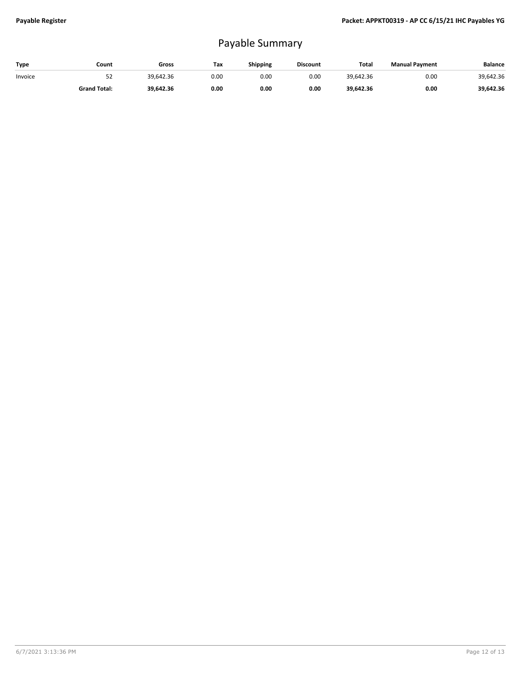## Payable Summary

| Type    | Count               | Gross     | Tax  | <b>Shipping</b> | <b>Discount</b> | Total     | <b>Manual Payment</b> | <b>Balance</b> |
|---------|---------------------|-----------|------|-----------------|-----------------|-----------|-----------------------|----------------|
| Invoice | 52                  | 39.642.36 | 0.00 | 0.00            | 0.00            | 39.642.36 | 0.00                  | 39,642.36      |
|         | <b>Grand Total:</b> | 39.642.36 | 0.00 | 0.00            | 0.00            | 39.642.36 | 0.00                  | 39,642.36      |